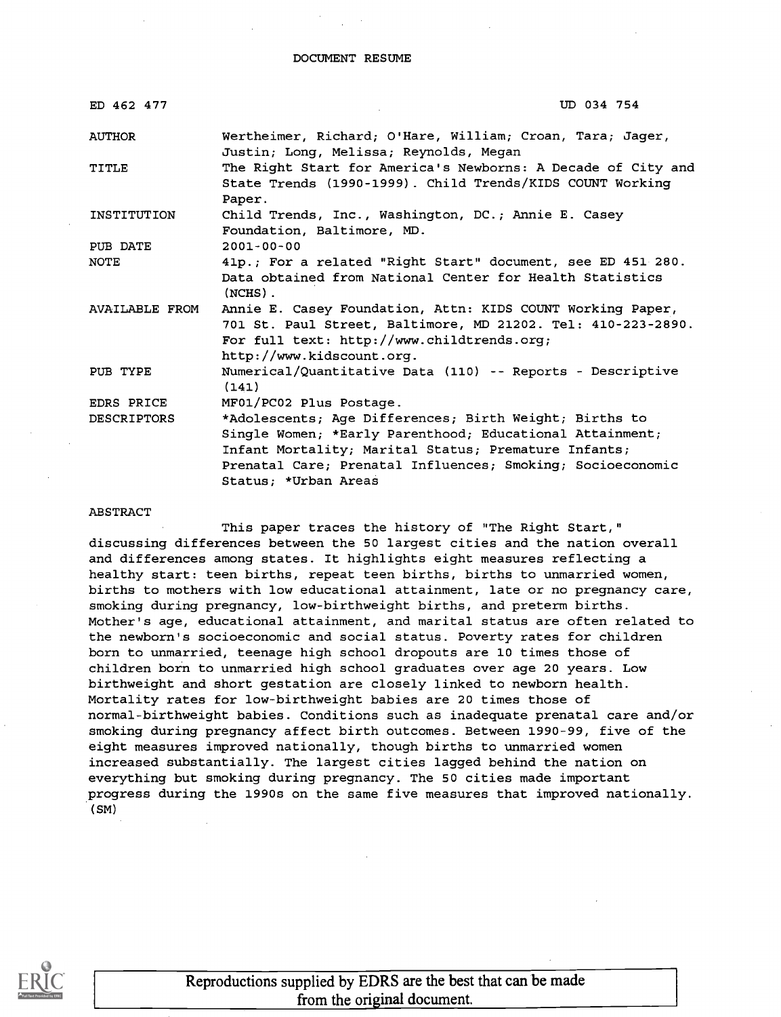### DOCUMENT RESUME

| UD 034 754                                                                                                                                                                                            |
|-------------------------------------------------------------------------------------------------------------------------------------------------------------------------------------------------------|
| Wertheimer, Richard; O'Hare, William; Croan, Tara; Jager,<br>Justin; Long, Melissa; Reynolds, Megan                                                                                                   |
| The Right Start for America's Newborns: A Decade of City and<br>State Trends (1990-1999). Child Trends/KIDS COUNT Working<br>Paper.                                                                   |
| Child Trends, Inc., Washington, DC.; Annie E. Casey<br>Foundation, Baltimore, MD.                                                                                                                     |
| $2001 - 00 - 00$                                                                                                                                                                                      |
| 41p.; For a related "Right Start" document, see ED 451 280.                                                                                                                                           |
| Data obtained from National Center for Health Statistics<br>$(NCHS)$ .                                                                                                                                |
| Annie E. Casey Foundation, Attn: KIDS COUNT Working Paper,<br>701 St. Paul Street, Baltimore, MD 21202. Tel: 410-223-2890.<br>For full text: http://www.childtrends.org;<br>http://www.kidscount.org. |
| Numerical/Quantitative Data (110) -- Reports - Descriptive<br>(141)                                                                                                                                   |
| MF01/PC02 Plus Postage.                                                                                                                                                                               |
| *Adolescents; Age Differences; Birth Weight; Births to                                                                                                                                                |
| Single Women; *Early Parenthood; Educational Attainment;                                                                                                                                              |
| Infant Mortality; Marital Status; Premature Infants;                                                                                                                                                  |
| Prenatal Care; Prenatal Influences; Smoking; Socioeconomic                                                                                                                                            |
| Status: *Urban Areas                                                                                                                                                                                  |
|                                                                                                                                                                                                       |

## ABSTRACT

This paper traces the history of "The Right Start," discussing differences between the 50 largest cities and the nation overall and differences among states. It highlights eight measures reflecting a healthy start: teen births, repeat teen births, births to unmarried women, births to mothers with low educational attainment, late or no pregnancy care, smoking during pregnancy, low-birthweight births, and preterm births. Mother's age, educational attainment, and marital status are often related to the newborn's socioeconomic and social status. Poverty rates for children born to unmarried, teenage high school dropouts are 10 times those of children born to unmarried high school graduates over age 20 years. Low birthweight and short gestation are closely linked to newborn health. Mortality rates for low-birthweight babies are 20 times those of normal-birthweight babies. Conditions such as inadequate prenatal care and/or smoking during pregnancy affect birth outcomes. Between 1990-99, five of the eight measures improved nationally, though births to unmarried women increased substantially. The largest cities lagged behind the nation on everything but smoking during pregnancy. The 50 cities made important progress during the 1990s on the same five measures that improved nationally. (SM)

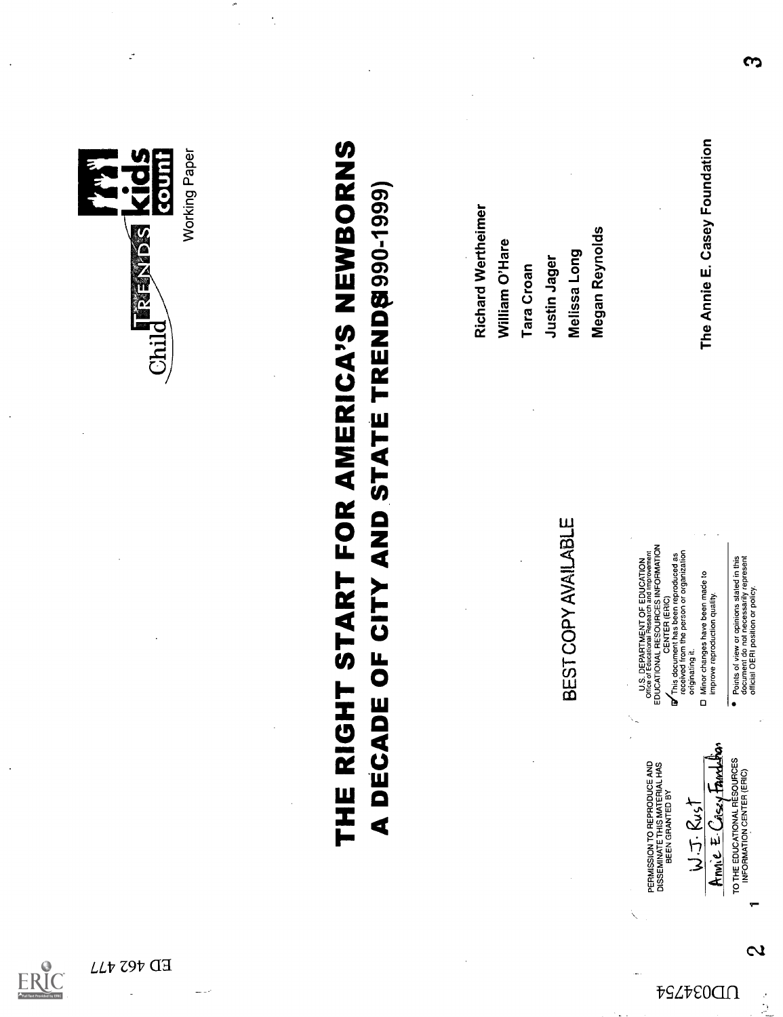

ED 462 477

ERIC



人名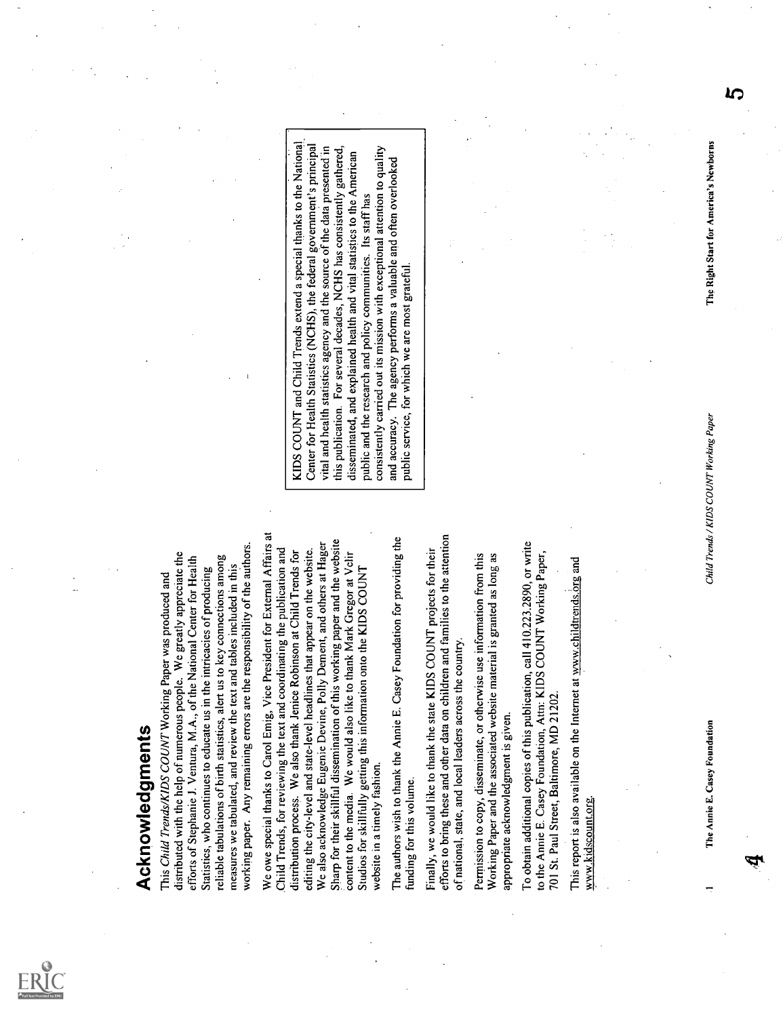

A CHOON ROOM (See the way shown out and the state of the state of the state of the state of the state of the state of the state of the state of the state of the state of the state of the state of the state of the state of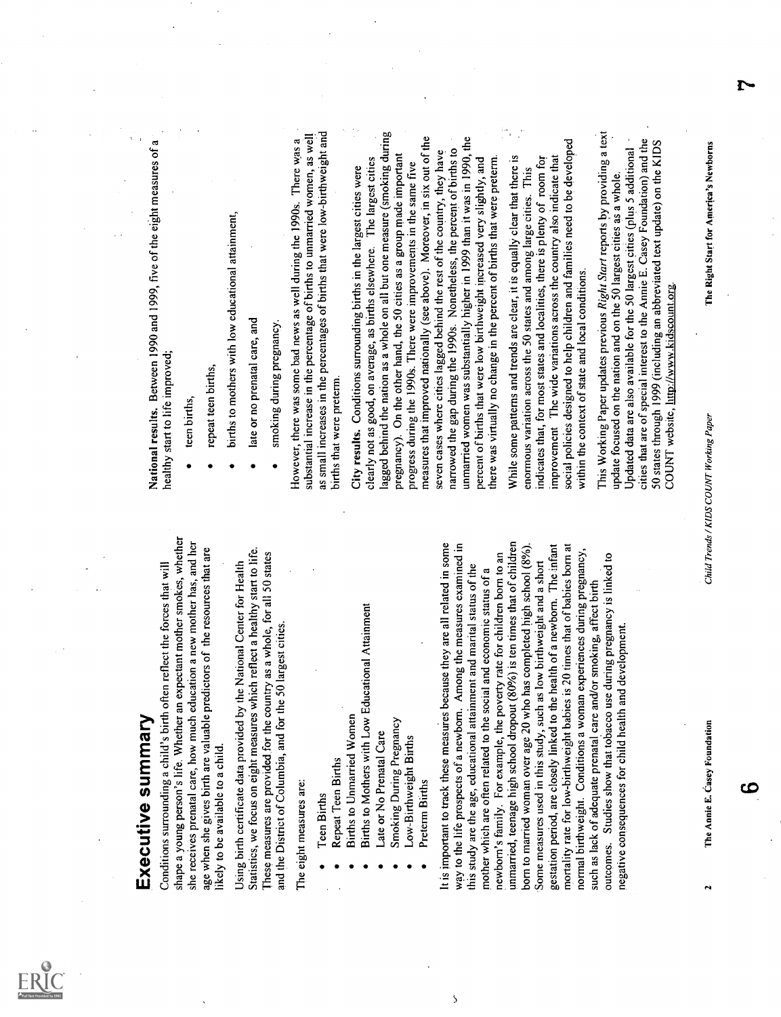

- 
- 
- 
- -
- 
- 
- 

 $\overline{\mathbf{S}}$ 

Executive summary Conditions surrounding a child's birth often reflect the forces that will shape a young person's life. Whether an expectant mother smokes, whether she receives prenatal care, how much education a new mother has, and her age when she gives birth are valuable predictors of the resources that are likely to be available to a child. Using birth certificate data provided by the National Center for Health Statistics, we focus on eight measures which reflect a healthy start to life. These measures are provided for the country as a whole, for all 50 states and the District of Columbia, and for the 50 largest cities. The eight measures are: Teen Births Repeat Teen Births Births to Unmarried Women Births to Mothers with Low Educational Attainment Late or No Prenatal Care Smoking During Pregnancy Low-Birthweight Births Preterm Births It is important to track these measures because they are all related in some way to the life prospects of a newborn. Among the measures examined in this study are the age, educational attainment and marital status of the mother which are often related to the social and economic status of a newborn's family. For example, the poverty rate for children born to an unmarried, teenage high school dropout (80%) is ten times that of children born to married woman over age 20 who has completed high school (8%). Some measures used in this study, such as low birthweight and a short gestation period, are closely linked to the health of a newborn. The infant mortality rate for low-birthweight babies is 20 times that of babies born at normal birthweight. Conditions a woman experiences during pregnancy, such as lack of adequate prenatal care and/or smoking, affect birth outcomes. Studies show that tobacco use during pregnancy is linked to negative consequences for child health and development. National results. Between 1990 and 1999, five of the eight measures of a healthy start to life improved; teen births, repeat teen births, births to mothers with low educational attainment, late or no prenatal care, and smoking during pregnancy. However, there was some bad news as well during the 1990s. There was a substantial increase in the percentage of births to unmarried women, as well as small increases in the percentages of births that were low-birthweight and births that were preterm. City results. Conditions surrounding births in the largest cities were clearly not as good, on average, as births elsewhere. The largest cities lagged behind the nation as a whole on all but one measure (smoking during pregnancy). On the other hand, the 50 cities as a group made important progress during the 1990s. There were improvements in the same five measures that improved nationally (see above). Moreover, in six out of the seven cases where cities lagged behind the rest of the country, they have narrowed the gap during the l 990s. Nonetheless, the percent of births to unmarried women was substantially higher in 1999 than it was in 1990, the percent of births that were low birthweight increased very slightly, and there was virtually no change in the percent of births that were preterm. While some patterns and trends are clear, it is equally clear that there is enormous variation across the 50 states and among large cities. This indicates that, for most states and localities, there is plenty of room for improvement The wide variations across the country also indicate that social policies designed to help children and families need to be developed within the context of state and local conditions. This Working Paper updates previous Right Start reports by providing a text update focused on the nation and on the 50 largest cities as a whole. Updated data are also available for the 50 largest cities (plus 5 additional cities that are of special interest to the Annie E. Casey Foundation) and the 50 states through 1999 (including an abbreviated text update) on the KIDS COUNT website http://www.kidscount.org.

- 
- 
- 
- 
- 

r.

ငင

2 The Annie E. Casey Foundation<br>The Annie E. Casey Foundation<br>Child Trends / Child Trends / Child Trends / KIDS COUNT Working Paper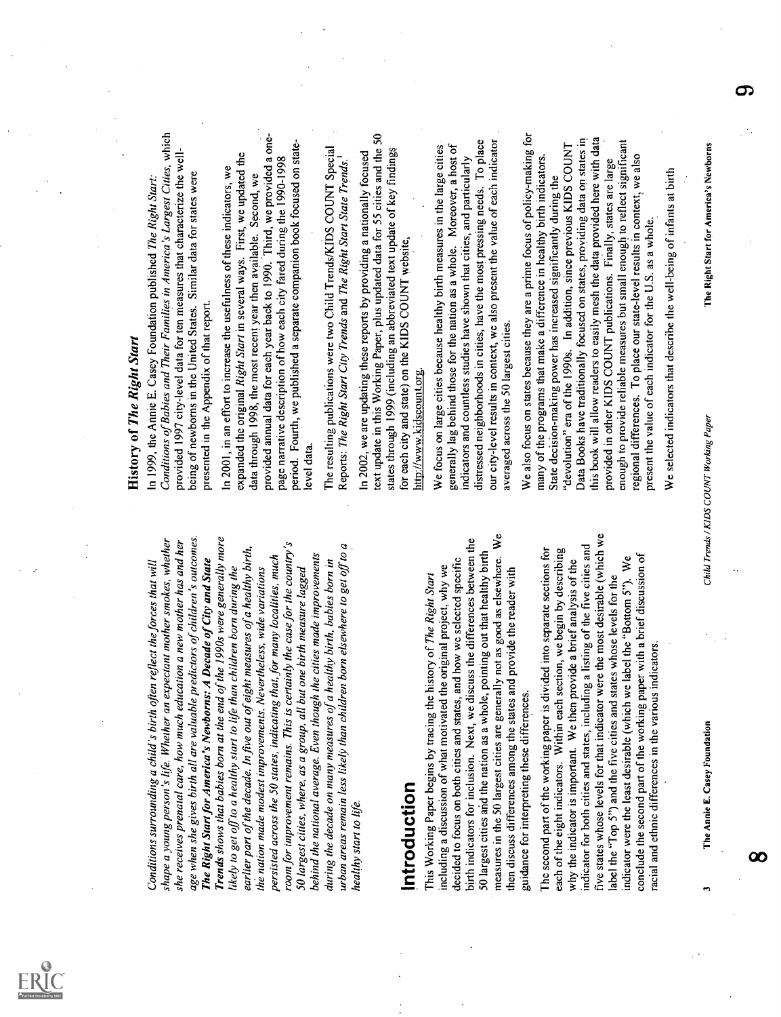

Conditions surrounding to this the two points of the state of the state of the state of the state of the state of the state of the state of the state of the state of the state of the state of the state of the state of the The Annie E. Casey Foundation History of The Right Start In 1999, the Annie E. Casey Foundation published The Right Start: Conditions of Babies and Their Families in America's Largest Cities, which provided 1997 city-level data for ten measures that characterize the well- being of newborns in the United States. Similar data for states were presented in the Appendix of that report. In 2001, in an effort to increase the usefulness of these indicators, we expanded the original Right Start in several ways. First, we updated the data through 1998, the most recent year then available. Second, we provided annual data for each year back to 1990. Third, we provided a one- page narrative description of how each city fared during the 1990-1998 period. Fourth, we published a separate companion book focused on state- level data. The resulting publications were two Child Trends/KIDS COUNT Special Reports: The Right Start City Trends and The Right Start State Trends.' In 2002, we are updating these reports by providing a nationally focused text update in this Working Paper, plus updated data for 55 cities and the 50 states through 1999 (including an abbreviated text update of key findings for each city and state) on the KIDS COUNT website, http://www.kidscountorg. We focus on large cities because healthy birth measures in the large cities generally lag behind those for the nation as a whole. Moreover, a host of indicators and countless studies have shown that cities, and particularly distressed neighborhoods in cities, have the most pressing needs. To place our city-level results in context, we also present the value of each indicatoraveraged across the 50 largest cities. We also focus on states because they are a prime focus of policy-making for many of the programs that make a difference in healthy birth indicators. State decision-making power has increased significantly during the "devolution" era of the 1990s. In addition, since previous KIDS COUNT Data Books have traditionally focused on states, proyiding data on states in this book will allow readers to easily mesh the data provided here with data provided in other KIDS COUNT publications. Finally, states are large enough to provide reliable measures but small enough to reflect significant regional differences. To place our state-level results in context, we also present the value of each indicator for the U.S. as a whole.. We selected indicators that describe the well-being of infants at birth Child Trends / KIDS COUNT Working Paper The Right Start for America's Newborns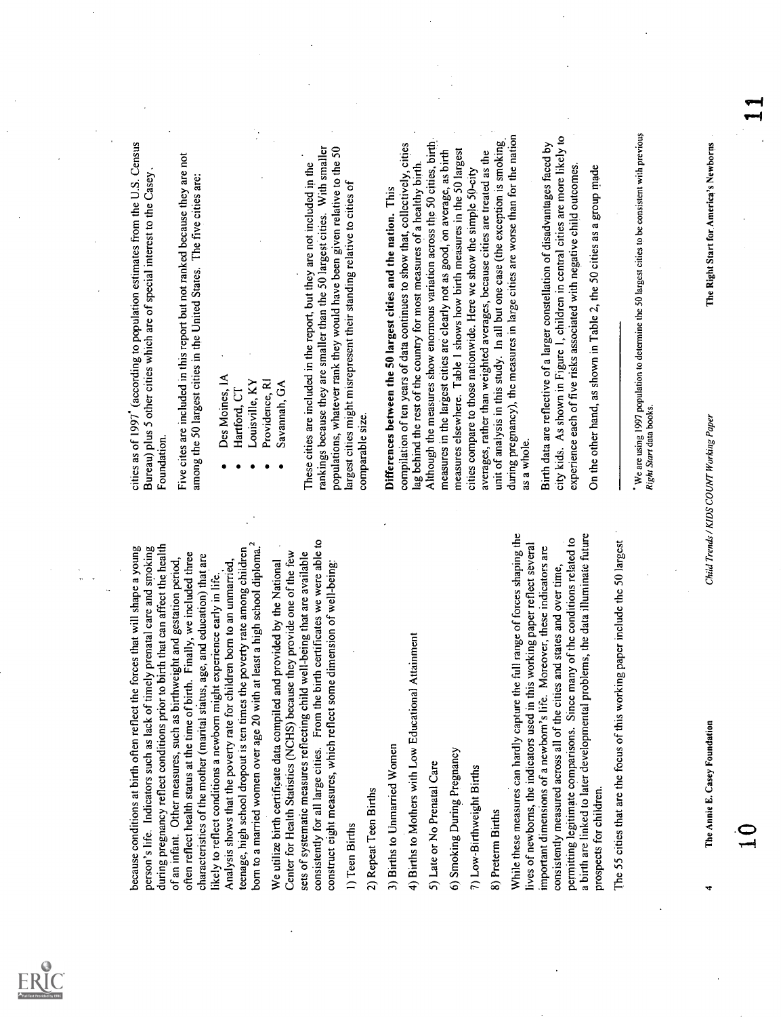

- 
- 
- 
- 
- 

because conditions at birth often reflect the forces that will shape a young person's life. Indicators such as lack of timely prenatal care and smoking during pregnancy reflect conditions prior to birth that can affect the health of an infant. Other measures, such as birthweight and gestation period, often reflect health status at the time of.birth. Finally, we included three characteristics of the mother (marital status, age, and education) that are likely to reflect conditions a newborn might experience early in life. Analysis shows that the poverty rate for children born to an unmarried, teenage, high school dropout is ten times the poverty rate among children born to a married women over age 20 with at least a high school diploma.2 We utilize birth certificate data compiled and provided by the National Center for Health Statistics (NCHS) because they provide one of the few sets of systematic measures reflecting child well-being that are available consistently for all large cities. From the birth certificates we were able to construct eight measures, which reflect some dimension of well-being: 1) Teen Births 2) Repeat Teen Births 3) Births to Unmarried Women 4) Births to Mothers with Low Educational Attainment 5) Late or No Prenatal Care 6) Smoking During Pregnancy 7) Low-Birthweight Births 8) Preterm Births While these measures can hardly capture the full range of forces shaping the lives of newborns, the indicators used in this working paper reflect several important dimensions of a newborn's life. Moreover, these indicators are consistently measured across all of the cities and states and over time, permitting legitimate comparisons. Since many of the conditions related to a birth are linked to later developmental problems, the data illuminate future prospects for children. The 55 cities that are the focus of this working paper include the 50 largest cities as of 1997' (according to population estimates from the U.S. Census Bureau) plus 5 other cities which are of special interest to the Casey Foundation. Five cites are included in this report but not ranked because they are not among the 50 largest cities in the United States. The five cities are: Des Moines, IA Hartford, CT Louisville, KY Providence, RI Savannah, GA These cities are included in the report, but they are not included in the rankings because they are smaller than the 50 largest cities. With smaller populations, whatever rank they would have been given relative to the 50 largest cities might misrepresent their standing relative to cities of comparable size. Differences between the 50 largest cities and the nation. This compilation of ten years of data continues to show that, collectively, cities lag behind the rest of the country for most measures of a healthy birth. Although the measures show enormous variation across the 50 cities, birth measures in the largest cities are clearly not as good, on average, as birth measures elsewhere. Table 1 shows how birth measures in the 50 largest cities compare to those nationwide. Here we show the simple 50-city averages, rather than weighted averages, because cities are treated as the unit of analysis in this study. In all but one case (the exception is smoking, during pregnancy), the measures in large cities are worse than for the nation as a whole. Birth data are reflective of a larger constellation of disadvantages faced by city kids. As shown in Figure 1, children in central cities are more likely to experience each of five risks associated with negative child outcomes. On the other hand, as shown in Table 2, the 50 cities as a group made We are using 1997 population to determine the 50 largest cities to be consistent with previous Right Start data books. 4

The Annie E. Casey Foundation Child Trends / KIDS COUNT Working Paper The Right Start for America's Newborns 1 0 1 1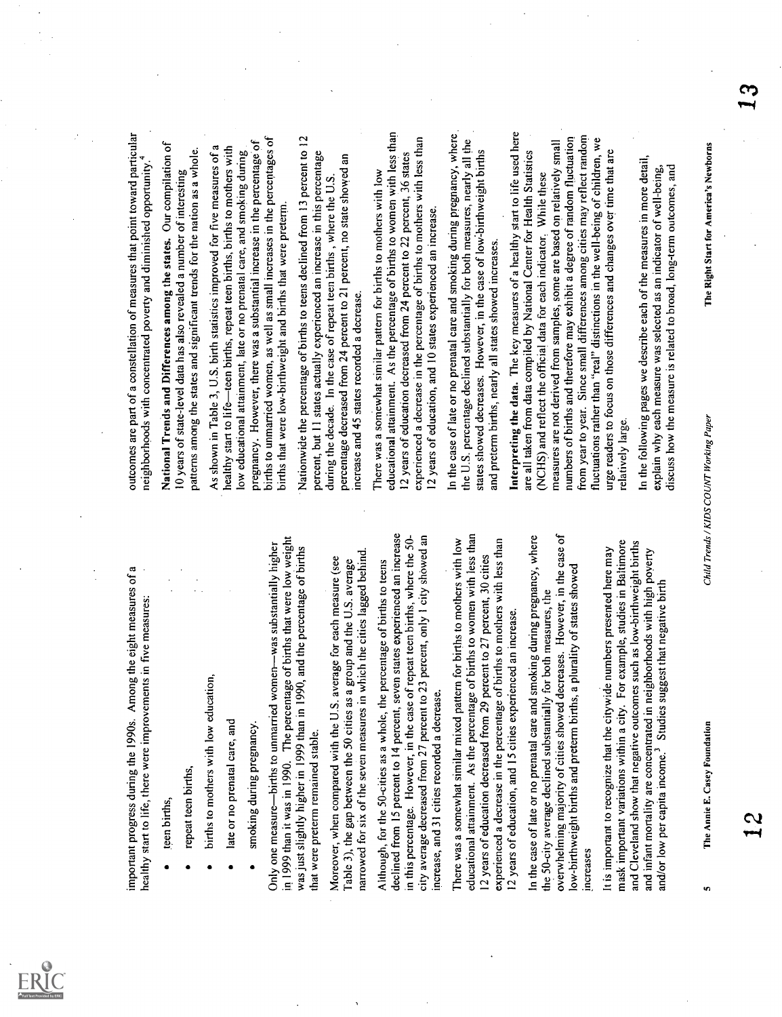

- 
- 
- 
- 
- 

important progress during the 1990s. Among the eight measures of a healthy start to life, there were improvements in five measures: teen births, repeat teen births, births to mothers with low education, late or no prenatal care, and smoking during pregnancy. Only one measurebirths to unmarried womenwas substantially higher in 1999 than it was in 1990. The percentage of births that were low weight was just slightly higher in 1999 than in 1990, and the percentage of births that were preterm remained stable. Moreover, when compared with the U.S. average for each measure (see Table 3), the gap between the 50 cities as a group and the U.S. average narrowed for six of the seven measures in which the cities lagged behind. Although, for the 50-cities as a whole, the percentage of births to teens declined from 15 percent to 14 percent, seven states experienced an increase in this percentage. However, in the case of repeat teen births, where the 50- city average decreased from 27 percent to 23 percent, only 1 city shOwed an increase, and 31 cities recorded a decrease. There was a somewhat similar mixed pattern for births to mothers with low educational attainment. As the percentage of births to women with less than 12 years of education decreased from 29 percent to 27 percent, 30 cities experienced a decrease in the percentage of births to mothers with less than 12 years of education, and 15 cities experienced an increase. In the case of late or no prenatal care and smoking during pregnancy, where the 50-city average declined substantially for both measures, the overwhelming majority of cities showed decreases. However, in the case of low-birthweight births and preterm births, a plurality of states showed increases It is important to recognize that the citywide numbers presented here may mask important variations within a city. For example, studies in Baltimore and Cleveland show that negative outcomes such as low-birthweight births and infant mortality are concentrated in neighborhoods with high poverty and/or low per capita income.3 Studies suggest that negative birth outcomes are part of a constellation of measures that point toward particular neighborhoods with concentrated poverty and diminished opportunity.4 National Trends and Differences among the states. Our compilation of 10 years of state-level data has also revealed a number of interesting patterns among the states and significant trends for the nation as a whole. As shown in Table 3, U.S. birth statistics improved for five measures of a healthy start to lifeteen births, repeat teen births, births to mothers with low educational attainment, late or no prenatal care, and smoking during pregnancy. However, there was a substantial increase in the percentage of births to unmarried women, as well as small increases in the percentages of births that were low-birthweight and births that were preterm. Nationwide the percentage of births to teens declined from 13 percent to 12 percent, but 11 states actually experienced an increase in this percentage during the decade. In the case of repeat teen births , where the U.S. percentage decreased from 24 percent to 21 percent, no state showed an increase and 45 states recorded a decrease. There was a somewhat similar pattern for births to mothers with low educational attainment. As the percentage of births to women with less than 12 years of education decreased from 24 percent to 22 percent, 36 states experienced a decrease in the percentage of births to mothers with less than 12 years of education, and 10 states experienced an increase. In the case of late or no prenatal care and smoking during pregnancy, where the U.S. percentage declined substantially for both measures, nearly all the states showed decreases. However, in the case of lowLbirthweight births and preterm births, nearly all states showed increases. Interpreting the data. The key measures of a healthy start to life used here are all taken from data compiled by National Center for Health Statistics (NCHS) and reflect the official data for each indicator. While these measures are not derived from samples, some are based on relatively small numbers of births and therefore may exhibit a degree of random fluctuation from year to year. Since small differences among cities may reflect random fluctuations rather than "real" distinctions in the well-being of children, we urge readers to focus on those differences and changes over time that are relatively large. In the following pages we describe each of the measures in more detail, explain why each measure was selected as an indicator of well-being, discuss how the measure is related to broad, long-term outcomes, and 5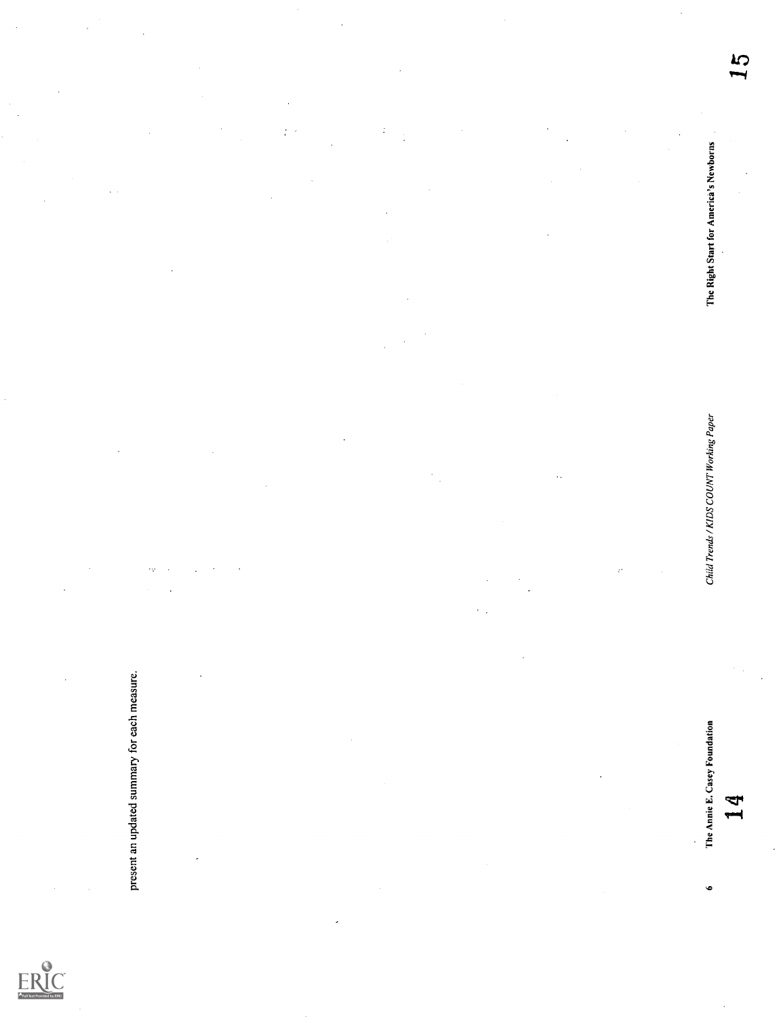

present an updated summary for each measure.<br>
The Annie E. Cases Foundation<br>
6

Ì,

 $\overline{a}$ 

 $\frac{1}{4}$ 

 $\ddot{\phantom{0}}$ 

5<br>L 6 The Annie E. Casey Foundation Child Trends / KIDS COUNT Working Paper The Right Start for America's Newborns 15 15<br>14 14 14 15 16

The Right Start for America's Newborns

Child Trends / KIDS COUNT Working Paper

14

 $\ddot{\phantom{0}}$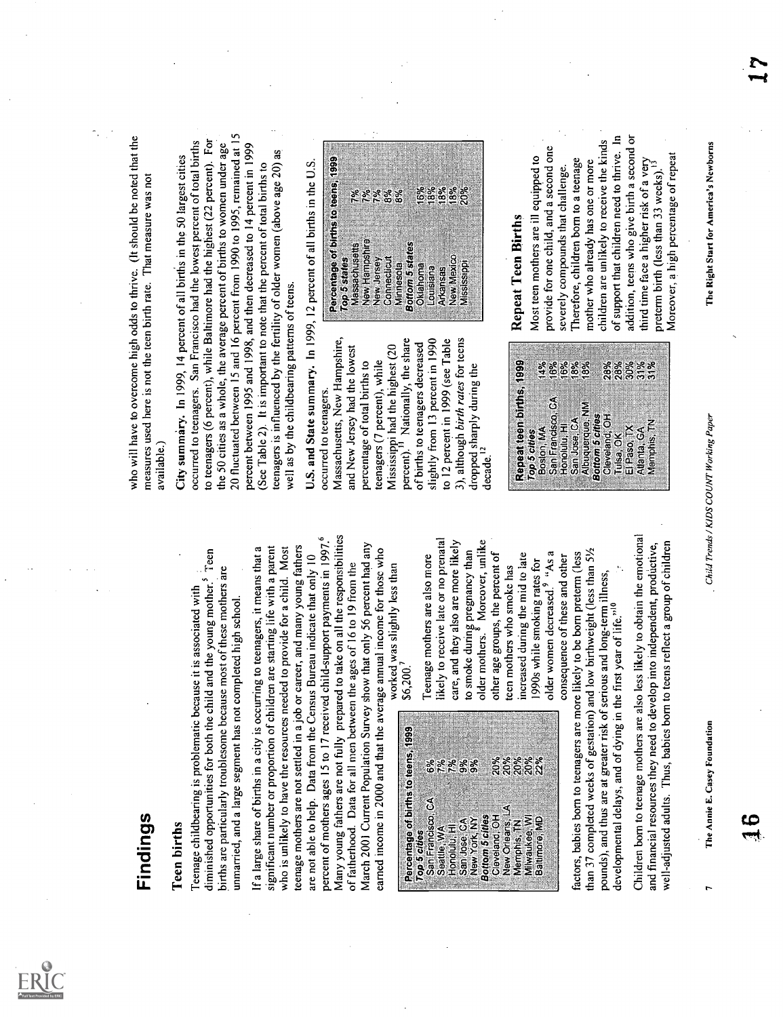

**Finding** is problemants the beautase it is associated with  $\frac{1}{2}$ .<br>
Then births<br>
diministed oppertunities for both the chuid med to yous gradue? Teen<br>
diministed oppertunities for both the chuid med to yous gradue? Te Teenage mothers are also more likely to receive late or no prenatal care, and they also are more likely to smoke during pregnancy than older mothers.8 Moreover, unlike other age groups, the percent of teen mothers who smoke has increased during the mid to late 1990s while smoking rates for older women decreased.9 "As a consequence of these and otherfactors, babies born to teenagers are more likely to be born preterm (less than 37 completed weeks of gestation) and low birthweight (less than 51/2 pounds), and thus are at greater risk of serious and long-term illness, developmental delays, and of dying in the first year of life."19 Children born to teenage mothers are also less likely to obtain the emotional and financial resources they need to develop into independent, productive, well-adjusted adults. Thus, babies born to teens reflect a group of children who will have to overcome high odds to thrive. (It should be noted that the measures used here is not the teen birth rate. That measure was not available.) City summary. In 1999, 14 percent of all births in the 50 largest cities occurred to teenagers. San Francisco had the lowest percent of total births to teenagers (6 percent), while Baltimore had the highest (22 percent). For the 50 cities as a whole, the average percent of births to women under age 20 fluctuated between 15 and 16 percent from 1990 to 1995, remained at 15 percent between 1995 and 1998, and then decreased to 14 percent in 1999 (See Table 2). It is important to note that the percent of total births to teenagers is influenced by the fertility of older women (above age 20) as well as by the childbearing patterns of teens. U.S. and State summary. In 1999, occurred to teenagers. Massachusetts, New Hampshire, and New Jersey had the lowest percentage of total births to teenagers (7 percent), while Mississippi had the highest (20 percent)." Nationally, the share of births to teenagers decreased slightly from 13 percent in 1990 to 12 percont in 1999 (see Table 3), although birth rates for teens dropped sharply during the decade." Repeat teen births, 1999 Top 5 cities Boston, MA 14% San Francisco, CA 16% Honolulu, HI 16% Sap Jose, CA 18% Albuquerque, NM 18% Bottom 5 cities Cleveland, OH 28% Tulsa, OK 28% El Paso, TX 30% Atlanta, GA 31% Memphis, TN 31% 12 percent of all births in the U.S. Percentage of births to teens, 1999 Top 5 states Massachusetts 7% New Hampshire 7% New Jersey 7% Connecticut 8% Minnesota 8% Bottom 5 states Oklahoma 16% Louisiana 18% Arkansas 18% New Mexico 18% Mississippi '20% Repeat Teen Births Most teen mothers are ill equipped to provide for one child, and a second one severely compounds that challenge. Therefore, children born to a teenage mother who already has one or more children are unlikely to receive the kinds of support that children need to thrive. In addition, teens who give birth a second or third time face a higher risk of a very preterm birth (less than 33 weeks)." Moreover, a high percentage of repeat

| o<br>⋍<br>o | ៖ ៖ ៖ ៖ ៖<br>ឧឧឧក | Bottom 5 cities<br>Cleveland, OH<br>⋚<br>Baltimore, MD<br>New Orleans,<br>Ě<br>Milwaukee<br>Memphis, |
|-------------|-------------------|------------------------------------------------------------------------------------------------------|
|             |                   |                                                                                                      |
|             |                   |                                                                                                      |
| o           | ೫೫                | New York, NY                                                                                         |
| ပ           | 361               | San Jose, CA<br>Ï<br>$H_{0}$ noluu, f                                                                |
|             | 8%<br>ž           | San Francisco, CA<br>Seattle, WA                                                                     |
| Э           |                   | Percentage of births to teens 1999<br>Top 5 cities                                                   |



The Annie E. Casey Foundation Chad Trends / KIDS COUNT Working Paper The Right Start for America's Newborns 17<br>.<br>. 17

-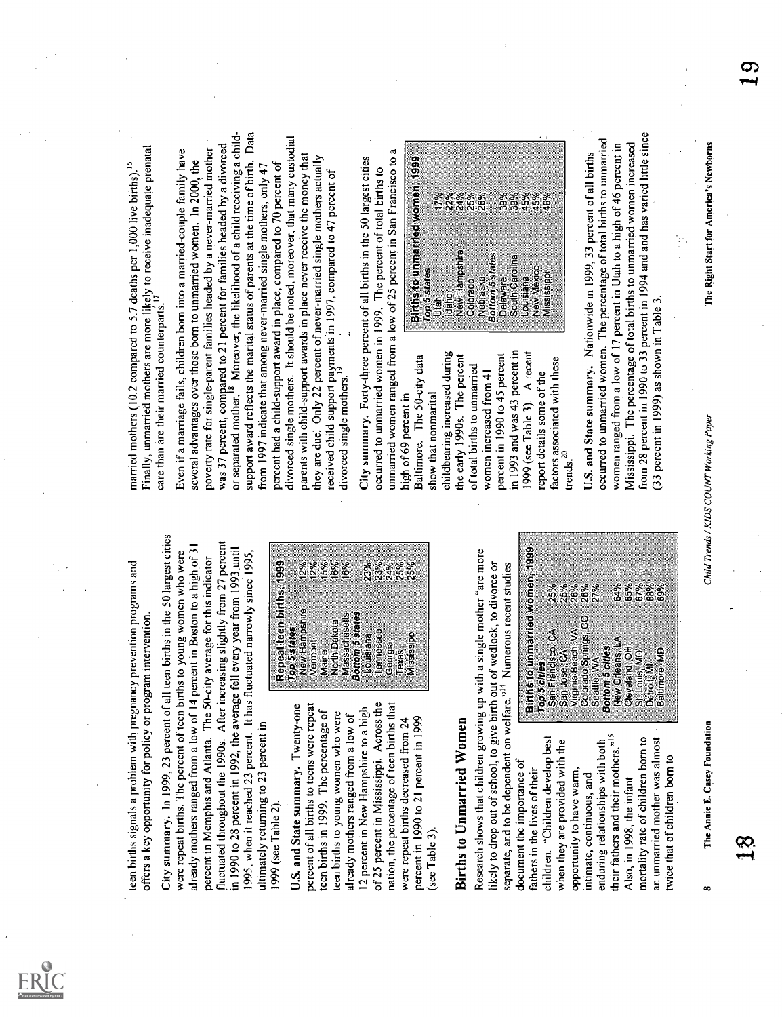

ersen terms of the system of the system of the system of the system of the system of the system of the system of the system of the system of the system of the system of the system of the system of the system of the system





Next the property of the second state of the second state in the second state of the second state in the second state in the second state in the second state in the second state in the second state in the second state in

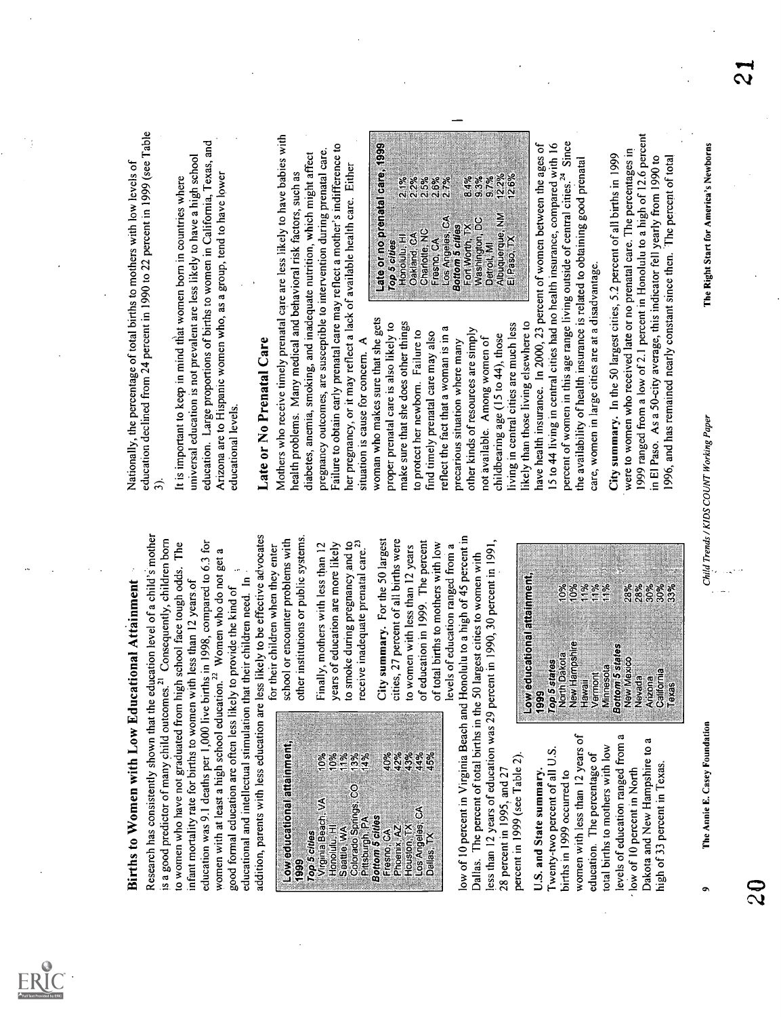

**Births to Women with Low Educational Artistimenti<br>
Signal of the Schement Microsoftenial Artistimenti<br>
Earlie Of Women with Low Educational Artistimentic<br>
is good persistent of many child outcomes, <sup>21</sup> Cones and 1, the<br>** The Annie E. Casey Foundation 20 Nationally, the percentage of total births to mothers with low levels of education declined from 24 percent in 1990 to 22 percent in 1999 (see Table 3). It is important to keep in mind tliat women born in countries where universal education is not prevalent are less likely to have a high school education. Large proportions of births to women in California, Texas, and Arizona are to Hispanic women who, as a group, tend to have lower educational levels. Late or No Prenatal Care Mothers who receive timely prenatal care are less likely to have babies with health problems. Many medical and behavioral risk factors, such as diabetes, anemia, smoking, and inadequate nutrition, which might affect pregnancy outcomes, are susceptible to intervention during prenatal care. Failure to obtain early prenatal care may reflect a mother's indifference to her pregnancy, or it may reflect a lack of available health care. Either situation is cause for concern.





9

situation is cause for concern. A

50 largest proposition in the state of the state of the state of the state of the state of the state of the state of the state of the state of the state of the state of the state of the state of the state of the state of

|                                                | ě                                       | ని ని ని ని<br>నీటి అం<br>a a a a a |                                    | 8.4%                               | 12.2%<br>33%<br>9.7%           | 12.6%       |
|------------------------------------------------|-----------------------------------------|-------------------------------------|------------------------------------|------------------------------------|--------------------------------|-------------|
| Late or no prenatal care, 1999<br>Top 5 cities | Oakland, CA<br>Honolulu <sub>.</sub> Hi | ž<br>Fresno, CA<br>Charlotte,       | Los Angeles, CA<br>Bottom 5 cities | ន<br>Fort Worth, TX<br>Washington, | Albuquerque, NM<br>Detroit, MI | El Paso, TX |
|                                                |                                         |                                     |                                    |                                    |                                |             |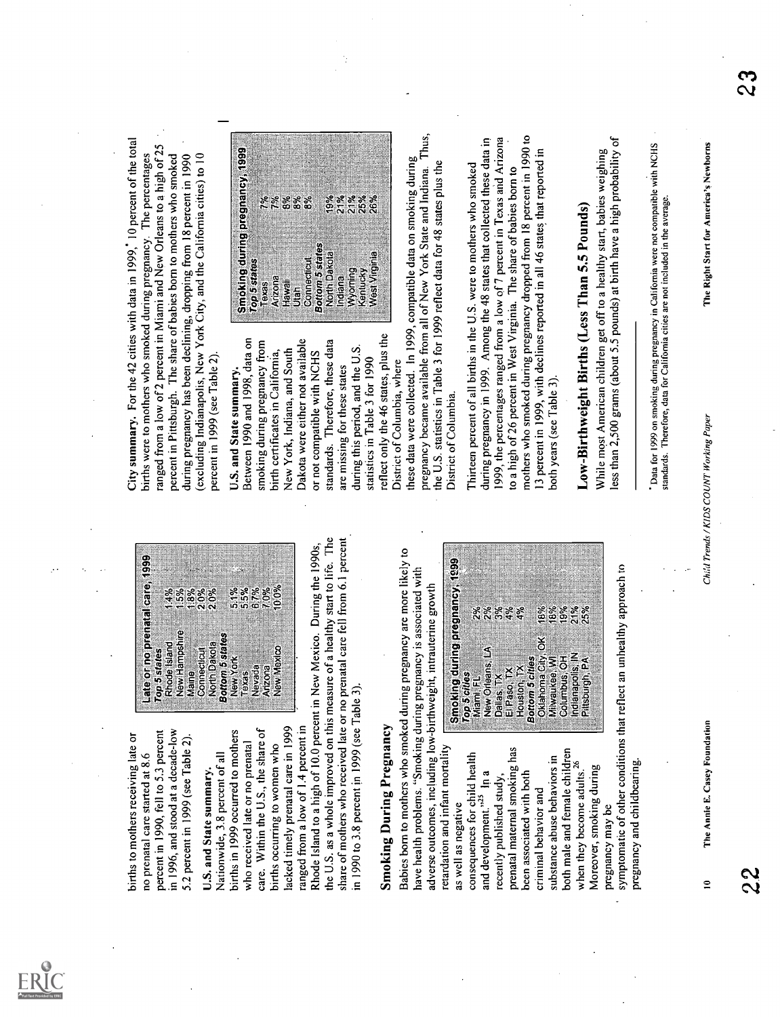





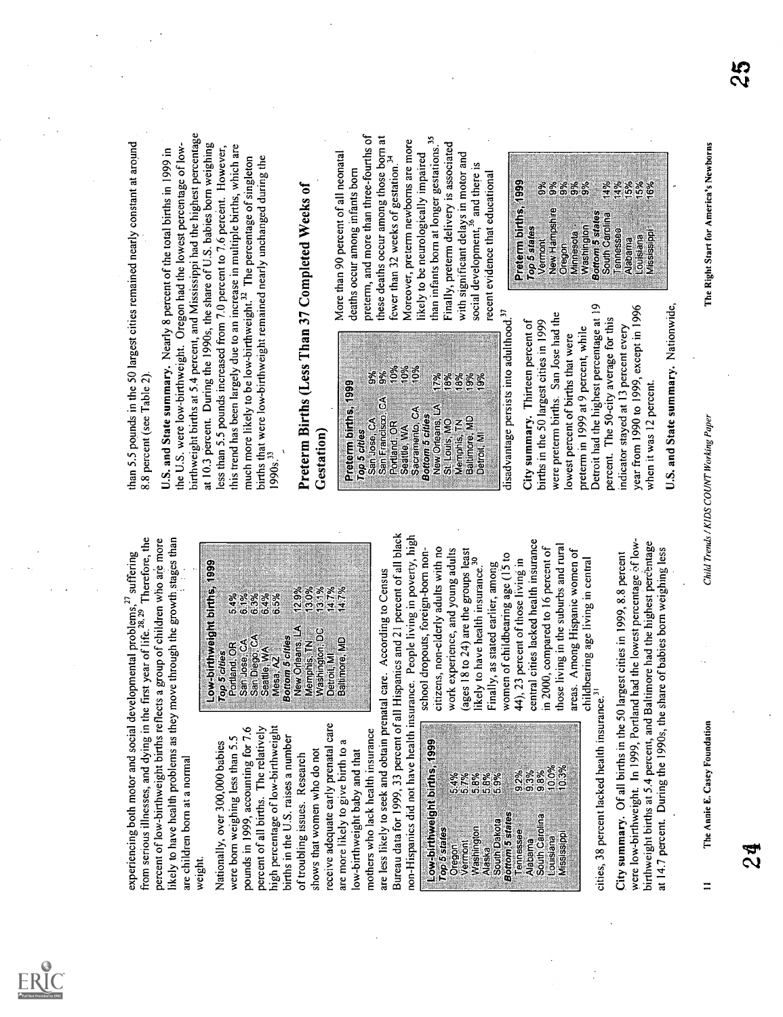



|                              |                   | ៵៵៵៵៵៵<br>៖<br>៰៰៰៰៰ |                                 | န္လာနာနာ<br>တိုက္ခံစံ |                | 10.0%     |             |
|------------------------------|-------------------|----------------------|---------------------------------|-----------------------|----------------|-----------|-------------|
| Low-birthweight births, 1999 |                   | Washington           | Bottom 5 states<br>South Dakota | Tennessee             | South Carolina |           | Mississippi |
| Top 5 states                 | Vermont<br>Oregon | Alaska               |                                 |                       | Alabama        | Louislana |             |

experiencing both motor and social developmental problems,27 suffering from serious illnesses, and dying in the first year of life.28' 29 Therefore, the percent of low-birthweight births reflects a group of children who are more likely to have health problems as they move through the growth stages than are children born at a normal weight. Nationally, over 300,000 babies were born weighing less than 5.5 pounds in 1999, accounting for 7.6 percent of all births. The relatively high percentage of low-birthweight births in the U.S. raises a number of troubling issues. Research shows that women who do not receive adequate early prenatal care are more likely to give birth to a low-birthweight baby and that mothers who lack health insurance are less likely to seek and obtain prenatal care. According to Census Bureau data for 1999, 33 percent of all Hispanics and 21 percent of all black non-Hispanics did not have health insurance. People living in poverty, high school dropouts, foreign-born non- citizens, non-elderly adults with no work experience, and young adults (ages 18 to 24) are the groups least likely to have health insurance.30 Finally, as stated earlier, among women of childbearing age (15 to 44), 23 percent of those living in central cities lacked health insurance in 2000, compared to 16 percent of those living in the suburbs and rural areas. Among Hispanic women of childbearing age living in central cities, 38 percent lacked health insurance.31 City summary. Of all births in the 50 largest cities in 1999, 8.8 percent were low-birthweight. In 1999, Portland had the lowest percentage low- birthweight births at 5.4 percent, and Baltimore had the highest percthtage at 14.7 percent. During the 1990s, the share of babies born weighing less Low-buthweight births, 1999 Top 5 cities Portland, OR 5.4% San Jose, CA 6 1% San Diego, CA 6 3% Seattle, WA 6.4% Mesa, AZ 6.5% Bottom 5 cities New Orleans, LA 12 9% Memphis, TN 13 0% Washington, DC 13 1% Detroit, MI 14.7% Baltimore, MD 14.7% Low-birthweight births, 1999 Top 5 states , Oregon 5 4% Vermont 5 7% Washington Alaska South Dakota Bottom 5 states Tennessee Alabama South Carolina Louisiana Mississippi 5.8% 5 8% 5.9% 9.2% 9,3% 9.8% 10 0% 10.3% than 5.5 pounds in the 50 largest cities remained nearly constant at around 8.8 percent (see Table 2). U.S. and State summary. Nearly 8 percent of the total births in 1999 in the U.S. were low-birthweight. Oregon had the lowest percentage of low- birthweight births at 5.4 percent, and Mississippi had the highest percentage at 10.3 percent. During the 1990s, the share of U.S. babies born weighing less than 5.5 pounds increased from 7.0 percent to 7.6 percent. However, this trend has been largely due to an increase in multiple births, which are much more likely to be low-birthweight.32 The percentage of singleton births that were low-birthweight remained nearly unchanged during the 1990s.33 Preterm Births (Less Than 37 Completed Weeks of Gestation) Preterm births, 1999 Top 5 cities San Jose, CA 9% San Francisco, CA 9% Portland, OR 10% Seattle, WA 10% Sacramento, CA 10% Bottom 5 cities New Orleans, LA 17% St Louis, MO 18% Memphis, yN 18% Baltimore, MD 19% Detroit, MI 19% More than 90 percent of all neonatal deaths occur among infants born preterm, and more than three-fourths of these deaths occur among those born at fewer than 32 weeks of gestation.34 Moreover, preterm newborns are more likely to be neurologically impaired than infants born at longer gestations.35 Finally, preterm delivery is associated with significant delays in motor and social development,36 and there is recent evidence that educational disadvantage persists into adulthood.37 City summary. Thirteen percent of births in the 50 largest cities in 1999 were preterm births. San Jose had the lowest percent of births that were preterm in 1999 at 9 percent, while Detroit had the highest percentage at 19 percent. The 50-city average for this indicator stayed at 13 percent every year from 1990 to 1999, except in 1996 when it was 12 percent. U.S. and State summary. Nationwide, 11 The Annie E. Casey Foundation Child Trends / KIDS COUNT Working Paper 24 Preterm births, 1999 TVoperSmsontattes 9% New Hampshire 9% Oregon 9% Minnesota 9% Washington 9% Bottom 5 states South Carolina 14% Tennessee 14% Alabama 15% Louisiana 15% Mississippi '16% The Right Start for America's Newborns 25

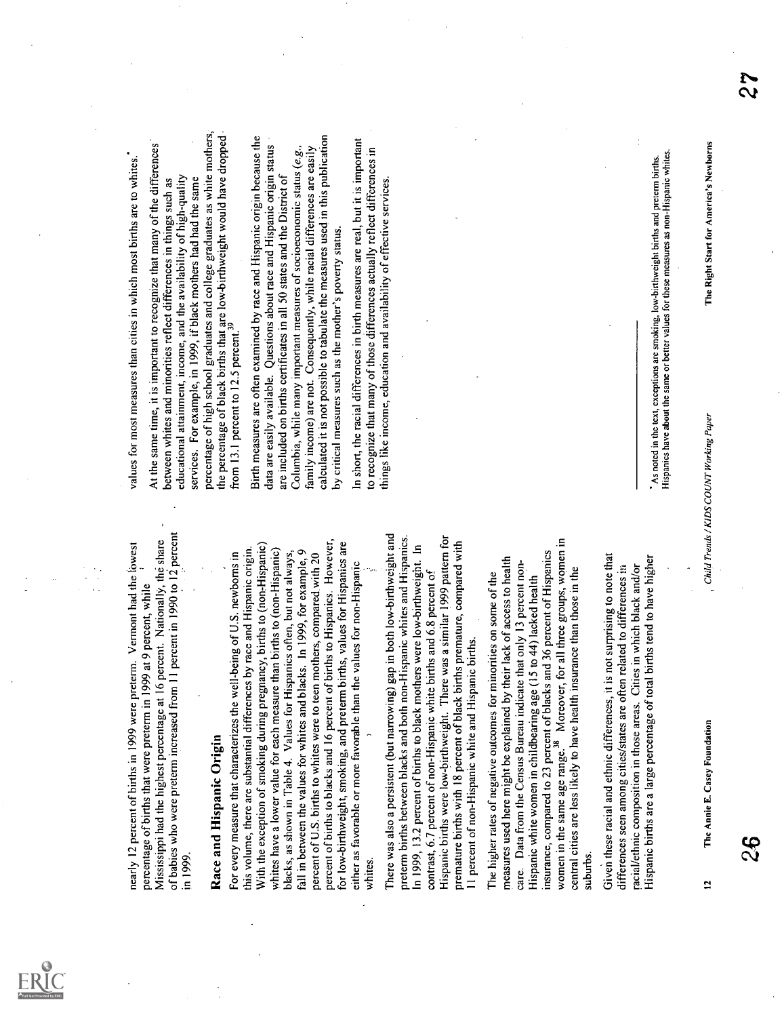

nearly 12 percent of births in 1999 were preterm. Vermont had the lowest percentage of births that were preterm in 1999 at 9 percent, while Mississippi had the highest percentage at 16 percent. Nationally, the share - of babies who were preterm increased from 11 percent in 1990 to 12 percent in 1999. Race and Hispanic Origin For every measure that characterizes the well-being of U.S. newborns in this volume, there are substantial differences by race and Hispanic origin. With the exception of smoking during pregnancy, births to (non,Hispanic) whites have a lower value for each measure than births to (non-Hispanic) blacks, as shown in Table 4. Values for Hispanics often, but not always, fall in between the values for whites and blacks. In 1999, for example, 9 percent of U.S. births to whites were to teen mothers, compared with 20 percent of births to blacks and 16 percent of births to Hispanics. However, for low-birthweight, smoking, and preterm births, values for Hispanics are either as favorable or more favorable than the values for non-Hispanic whites. There was also a persistent (but narrowing) gap in both low-birthweight and preterm births between blacks and both non-Hispanic whites and Hispanics. In 1999, 13.2 percent of births to black mothers were low-birthweight. In contrast, 6.7 percent of non-Hispanic white births and 6.8 percent of Hispanic births were low-birthweight. There was a similar 1999 pattern for premature births with 18 percent of black births premature, compared with 11 percent of non-Hispanic white and Hispanic births. The higher rates of negative outcomes for minorities on some of the measures used here might be explained by their lack of access to health care. Data from the Census Bureau indicate that only 13 percent non- Hispanic white women in childbearing age (15 to 44) lacked health insurance, compared to 23 percent of blacks and 36 percent of Hispanics women in the same age range.38 Moreover, for all three groups, women in central cities are less likely to have health insurance than those in the suburbs. Given these racial and ethnic differences, it is not surprising to note that differences seen among cities/states are often related to differences in racial/ethnic composition in those areas. Cities in which black and/or Hispanic births are a large percentage of total births tend to have higher values for most measures than cities in which most births are to whites.. At the same time, it is important to recognize that many of the differences between whites and minorities reflect differences in things such as educational attainment, income, and the availability of high-quality services. For example, in 1999, if black mothers had had the same percentage of high school graduates and college graduates as white mothers, the percentage of black births that are low-birthweight would have dropped from 13.1 percent to 12.5 percent.39 Birth measures are often examined by race and Hispanic origin because the data are easily available. Questions about race and Hispanic origin status are included on births certificates in all 50 states and the District of Columbia, while many important measures of socioeconomic status (e.g., family income) are not. Consequently, while racial differences are easily calculated it is not possible to tabulate the measures used in this publication by critical measures such as the mother's poverty status. In short, the racial differences in birth measures are real, but it is important to recognize that many of those differences actually reflect differences in things like income, education and availability of effective services. As noted in the text, exceptions are smoking, low-birthweight births and preterm births. Hispanics have about the same or better values for these measures as non-Hispanic whites. 12 The Annie E. Casey Foundation Child Trends / KIDS COUNT Working Paper The Right Start for America's Newborns 26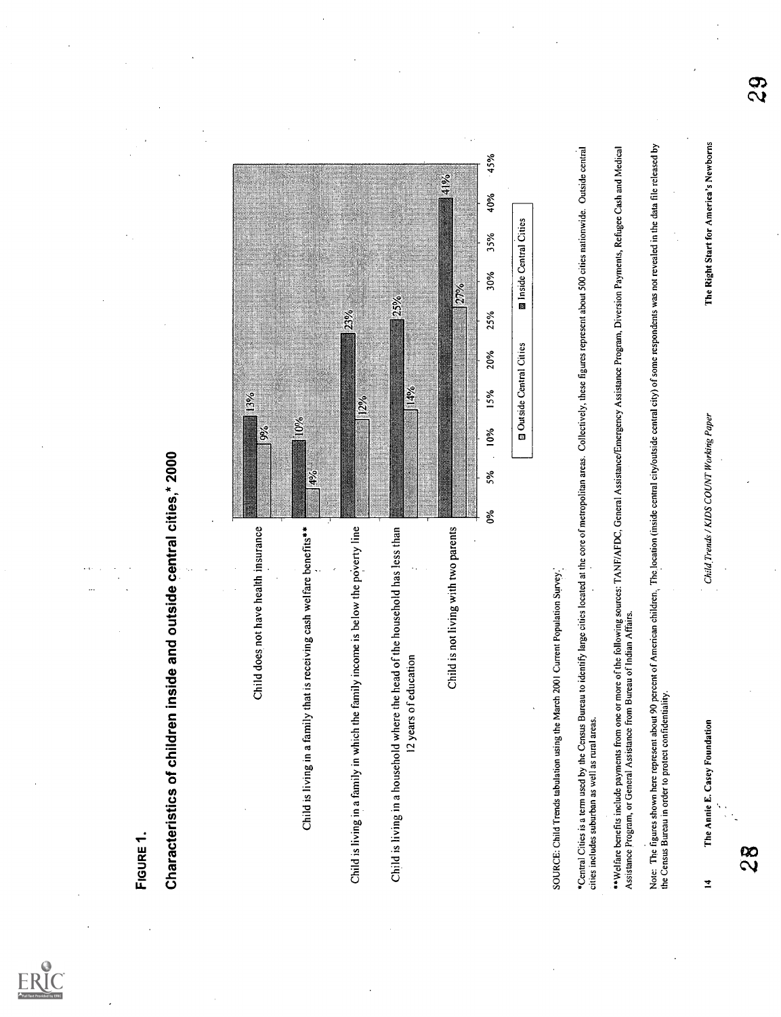

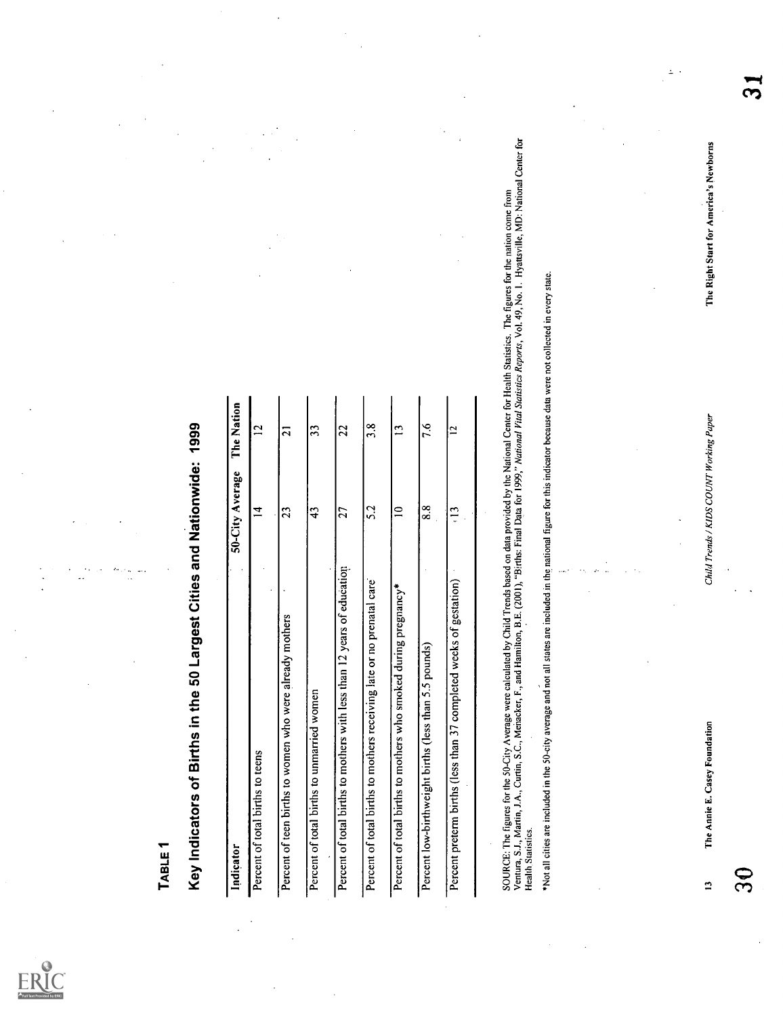

| SOURCE: The figures for the 50-City Average were calculated by Child Trends based on data provided by the National Center for Health Statistics. The figures for the nation come from<br>Ventura, S.J., Martin, J.A., Curtin, S.C<br>The Right Start for America's Newborns<br>states are included in the national figure for this indicator because data were not collected in every state.<br>The Nation<br>Child Trends / KIDS COUNT Working Paper<br>7.6<br>argest Cities and Nationwide: 1999<br>3.8<br>$\mathbf{L}$<br>51<br>33<br>$\overline{21}$<br>$\overline{2}$<br>$\overline{a}$<br>50-City Average<br>8.8<br>5.2<br>$\overline{a}$<br>$\frac{13}{2}$<br>$\overline{4}$<br>$\overline{c}$<br>$\frac{3}{4}$<br>$\overline{27}$<br>12 years of education<br>Percent preterm births (less than 37 completed weeks of gestation)<br>Percent of total births to mothers receiving late or no prenatal care<br>Percent of total births to mothers who smoked during pregnancy*<br>$\blacksquare$<br>Percent of teen births to women who were already mothers<br>Percent low-birthweight births (less than 5.5 pounds)<br>*Not all cities are included in the 50-city average and not all<br>Percent of total births to mothers with less than<br>Key Indicators of Births in the 50<br>Percent of total births to unmarried women<br>The Annie E. Casey Foundation<br>Percent of total births to teens<br><b>Health Statistics.</b><br>Indicator<br>$\mathfrak{S}$<br>$\mathbf{r}$ | <b>IABLE</b> 1 |  |  |
|------------------------------------------------------------------------------------------------------------------------------------------------------------------------------------------------------------------------------------------------------------------------------------------------------------------------------------------------------------------------------------------------------------------------------------------------------------------------------------------------------------------------------------------------------------------------------------------------------------------------------------------------------------------------------------------------------------------------------------------------------------------------------------------------------------------------------------------------------------------------------------------------------------------------------------------------------------------------------------------------------------------------------------------------------------------------------------------------------------------------------------------------------------------------------------------------------------------------------------------------------------------------------------------------------------------------------------------------------------------------------------------------------------------------------------------------------------------------------------------|----------------|--|--|
|                                                                                                                                                                                                                                                                                                                                                                                                                                                                                                                                                                                                                                                                                                                                                                                                                                                                                                                                                                                                                                                                                                                                                                                                                                                                                                                                                                                                                                                                                          |                |  |  |
|                                                                                                                                                                                                                                                                                                                                                                                                                                                                                                                                                                                                                                                                                                                                                                                                                                                                                                                                                                                                                                                                                                                                                                                                                                                                                                                                                                                                                                                                                          |                |  |  |
|                                                                                                                                                                                                                                                                                                                                                                                                                                                                                                                                                                                                                                                                                                                                                                                                                                                                                                                                                                                                                                                                                                                                                                                                                                                                                                                                                                                                                                                                                          |                |  |  |
|                                                                                                                                                                                                                                                                                                                                                                                                                                                                                                                                                                                                                                                                                                                                                                                                                                                                                                                                                                                                                                                                                                                                                                                                                                                                                                                                                                                                                                                                                          |                |  |  |
|                                                                                                                                                                                                                                                                                                                                                                                                                                                                                                                                                                                                                                                                                                                                                                                                                                                                                                                                                                                                                                                                                                                                                                                                                                                                                                                                                                                                                                                                                          |                |  |  |
|                                                                                                                                                                                                                                                                                                                                                                                                                                                                                                                                                                                                                                                                                                                                                                                                                                                                                                                                                                                                                                                                                                                                                                                                                                                                                                                                                                                                                                                                                          |                |  |  |
|                                                                                                                                                                                                                                                                                                                                                                                                                                                                                                                                                                                                                                                                                                                                                                                                                                                                                                                                                                                                                                                                                                                                                                                                                                                                                                                                                                                                                                                                                          |                |  |  |
|                                                                                                                                                                                                                                                                                                                                                                                                                                                                                                                                                                                                                                                                                                                                                                                                                                                                                                                                                                                                                                                                                                                                                                                                                                                                                                                                                                                                                                                                                          |                |  |  |
|                                                                                                                                                                                                                                                                                                                                                                                                                                                                                                                                                                                                                                                                                                                                                                                                                                                                                                                                                                                                                                                                                                                                                                                                                                                                                                                                                                                                                                                                                          |                |  |  |
|                                                                                                                                                                                                                                                                                                                                                                                                                                                                                                                                                                                                                                                                                                                                                                                                                                                                                                                                                                                                                                                                                                                                                                                                                                                                                                                                                                                                                                                                                          |                |  |  |
|                                                                                                                                                                                                                                                                                                                                                                                                                                                                                                                                                                                                                                                                                                                                                                                                                                                                                                                                                                                                                                                                                                                                                                                                                                                                                                                                                                                                                                                                                          |                |  |  |
|                                                                                                                                                                                                                                                                                                                                                                                                                                                                                                                                                                                                                                                                                                                                                                                                                                                                                                                                                                                                                                                                                                                                                                                                                                                                                                                                                                                                                                                                                          |                |  |  |
|                                                                                                                                                                                                                                                                                                                                                                                                                                                                                                                                                                                                                                                                                                                                                                                                                                                                                                                                                                                                                                                                                                                                                                                                                                                                                                                                                                                                                                                                                          |                |  |  |
|                                                                                                                                                                                                                                                                                                                                                                                                                                                                                                                                                                                                                                                                                                                                                                                                                                                                                                                                                                                                                                                                                                                                                                                                                                                                                                                                                                                                                                                                                          |                |  |  |
|                                                                                                                                                                                                                                                                                                                                                                                                                                                                                                                                                                                                                                                                                                                                                                                                                                                                                                                                                                                                                                                                                                                                                                                                                                                                                                                                                                                                                                                                                          |                |  |  |
|                                                                                                                                                                                                                                                                                                                                                                                                                                                                                                                                                                                                                                                                                                                                                                                                                                                                                                                                                                                                                                                                                                                                                                                                                                                                                                                                                                                                                                                                                          |                |  |  |
|                                                                                                                                                                                                                                                                                                                                                                                                                                                                                                                                                                                                                                                                                                                                                                                                                                                                                                                                                                                                                                                                                                                                                                                                                                                                                                                                                                                                                                                                                          |                |  |  |
|                                                                                                                                                                                                                                                                                                                                                                                                                                                                                                                                                                                                                                                                                                                                                                                                                                                                                                                                                                                                                                                                                                                                                                                                                                                                                                                                                                                                                                                                                          |                |  |  |

 $\Delta$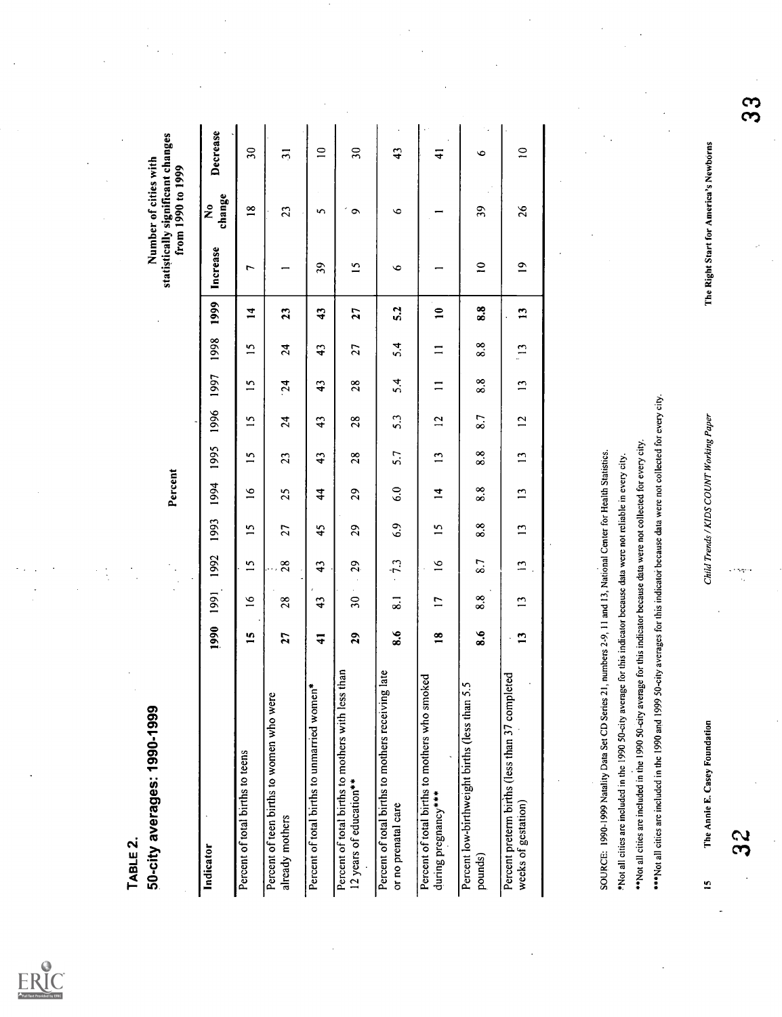

| <b>ABLE 2</b>                                                                                                                                                                                                                                                                                                                                                                                                                                                                                                             |                    |                               |                 |                 |                                         |                        |                        |                 |                         |                   |                                        |                                            |                                   |          |
|---------------------------------------------------------------------------------------------------------------------------------------------------------------------------------------------------------------------------------------------------------------------------------------------------------------------------------------------------------------------------------------------------------------------------------------------------------------------------------------------------------------------------|--------------------|-------------------------------|-----------------|-----------------|-----------------------------------------|------------------------|------------------------|-----------------|-------------------------|-------------------|----------------------------------------|--------------------------------------------|-----------------------------------|----------|
| 50-city averages: 1990-1999                                                                                                                                                                                                                                                                                                                                                                                                                                                                                               |                    |                               |                 |                 | Percent                                 |                        |                        |                 |                         |                   |                                        | Number of cities with<br>from 1990 to 1999 | statistically significant changes |          |
| Indicator                                                                                                                                                                                                                                                                                                                                                                                                                                                                                                                 | 1990               | 1991                          | 1992            | 1993            | 1994                                    | 1995                   | 1996                   | 1997            | 1998                    | 1999              | Increase                               | change<br>Ž,                               | Decrease                          |          |
| Percent of total births to teens                                                                                                                                                                                                                                                                                                                                                                                                                                                                                          | 15                 | $\tilde{=}$                   | $\overline{15}$ | $\overline{15}$ | $\tilde{=}$                             | $\overline{15}$        | $\overline{15}$        | $\overline{15}$ | $\overline{15}$         | $\overline{1}$    | L                                      | $\frac{8}{16}$                             | $\overline{\mathbf{30}}$          |          |
| Percent of teen births to women who were<br>already mothers                                                                                                                                                                                                                                                                                                                                                                                                                                                               | 27                 | 28                            | 28              | 27              | 25                                      | 23                     | $\overline{24}$        | $\overline{24}$ | $\mathbf{z}$            | 23                |                                        | 23                                         | $\mathbf{r}$                      |          |
| Percent of total births to unmarried women <sup>*</sup>                                                                                                                                                                                                                                                                                                                                                                                                                                                                   | $\ddot{=}$         | 43                            | $\ddot{4}$      | 45              | 4                                       | $\boldsymbol{\hat{4}}$ | $\boldsymbol{\hat{4}}$ | 43              | $\boldsymbol{\ddot{4}}$ | $\boldsymbol{43}$ | 39                                     | S                                          | $\supseteq$                       |          |
| Percent of total births to mothers with less than<br>12 years of education**                                                                                                                                                                                                                                                                                                                                                                                                                                              | 29                 | $\epsilon$<br>$\overline{30}$ | 5 <sup>o</sup>  | 29              | 29                                      | 28                     | 28                     | 28              | 27                      | 27                | $\overline{15}$                        | $\sigma$                                   | $\overline{\mathbf{30}}$          |          |
| late<br>Percent of total births to mothers receiving<br>or no prenatal care                                                                                                                                                                                                                                                                                                                                                                                                                                               | 8.6                | $\overline{\mathbf{5}}$       | $\ddot{7}3$     | 6.9             | 6.0                                     | 5.7                    | 5.3                    | 5.4             | 5.4                     | 5.2               | $\bullet$                              | $\bullet$                                  | $\boldsymbol{\hat{4}}$            |          |
| Percent of total births to mothers who smoked<br>during pregnancy****                                                                                                                                                                                                                                                                                                                                                                                                                                                     | $\overline{18}$    | $\overline{17}$               | $\tilde{=}$     | $\overline{5}$  | $\vec{r}$                               | $\overline{13}$        | $\overline{a}$         | $\equiv$        | $\equiv$                | $\mathbf{r}$      |                                        |                                            | $\overline{\texttt{+}}$           |          |
| Percent low-birthweight births (less than 5.5<br>pounds)                                                                                                                                                                                                                                                                                                                                                                                                                                                                  | $\ddot{\bm{s}}$ .6 | 8.8                           | 8.7             | 8.8             | 8.8                                     | 8.8                    | 8.7                    | 8.8             | $\frac{8}{8}$           | 8.8               | $\mathbf{r}$                           | 39                                         | ٠,<br>$\bullet$                   |          |
| Percent preterm births (less than 37 completed<br>weeks of gestation)                                                                                                                                                                                                                                                                                                                                                                                                                                                     | $\mathbf{1}$       | $\overline{13}$               | $\Xi$           | $\mathbf{1}$    | $\overline{13}$                         | $\overline{13}$        | 12                     | $\overline{13}$ | $\mathbb{C}$            | 13                | $\overline{a}$                         | 26                                         | $\approx$                         |          |
|                                                                                                                                                                                                                                                                                                                                                                                                                                                                                                                           |                    |                               |                 |                 |                                         |                        |                        |                 |                         |                   |                                        |                                            |                                   |          |
| ***Not all cities are included in the 1990 and 1999 50-city averages for this indicator because data were not collected for every city.<br>** Not all cities are included in the 1990 50-city average for this indicator because data were not collected for every city.<br>SOURCE: 1990-1999 Natality Data Set CD Series 21, numbers 2-9, 11 and 13, National Center for Health Statistics.<br>*Not all cities are included in the 1990 50-city average for this indicator because data were not reliable in every city. |                    |                               |                 |                 |                                         |                        |                        |                 |                         |                   |                                        |                                            |                                   |          |
| The Annie E. Casey Foundation<br>$\overline{2}$                                                                                                                                                                                                                                                                                                                                                                                                                                                                           |                    |                               |                 |                 | Child Trends / KIDS COUNT Working Paper |                        |                        |                 |                         |                   | The Right Start for America's Newborns |                                            |                                   |          |
| 3S                                                                                                                                                                                                                                                                                                                                                                                                                                                                                                                        |                    |                               | ernen<br>St     |                 |                                         |                        |                        |                 |                         |                   |                                        |                                            |                                   | <u>က</u> |
|                                                                                                                                                                                                                                                                                                                                                                                                                                                                                                                           |                    |                               |                 |                 |                                         |                        |                        |                 |                         |                   |                                        |                                            |                                   |          |
|                                                                                                                                                                                                                                                                                                                                                                                                                                                                                                                           |                    |                               |                 |                 |                                         |                        |                        |                 |                         |                   |                                        |                                            |                                   |          |
|                                                                                                                                                                                                                                                                                                                                                                                                                                                                                                                           |                    |                               |                 |                 |                                         |                        |                        |                 |                         |                   |                                        |                                            |                                   |          |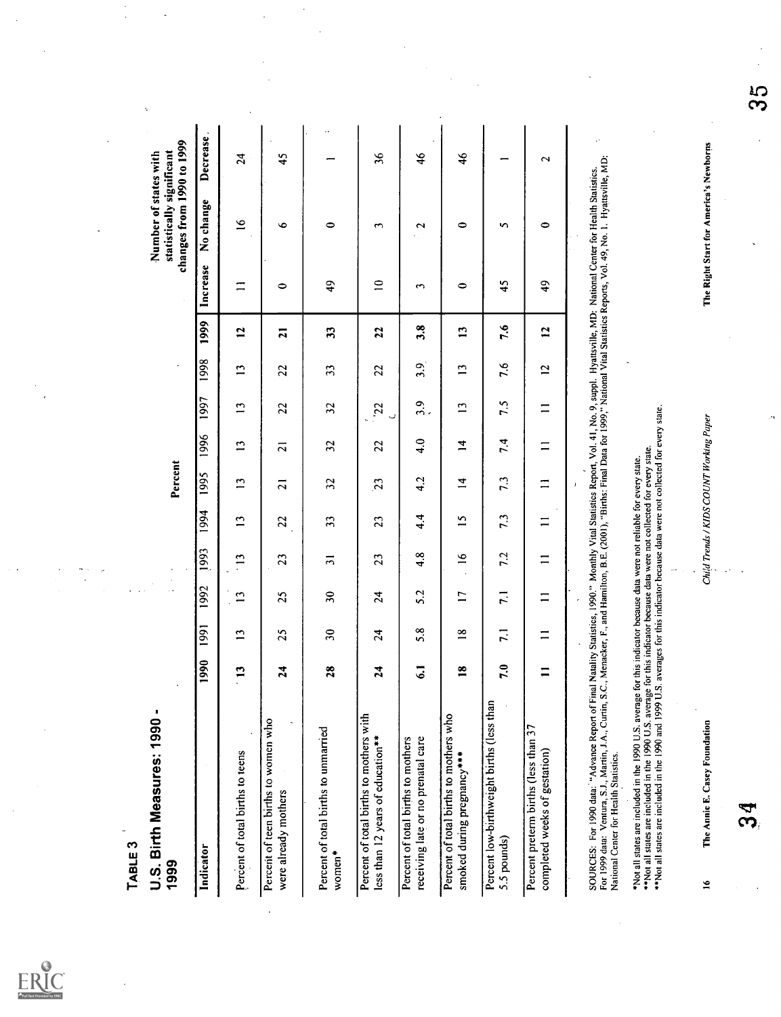$ERIC$ 

| <b>LABLE 3</b>                                                                                                                                                                                                                                                                                                                                                |               |                 |                          |                                         |                |                 |                 |                         |                 |                |                    |                                                                                 |                      |                      |
|---------------------------------------------------------------------------------------------------------------------------------------------------------------------------------------------------------------------------------------------------------------------------------------------------------------------------------------------------------------|---------------|-----------------|--------------------------|-----------------------------------------|----------------|-----------------|-----------------|-------------------------|-----------------|----------------|--------------------|---------------------------------------------------------------------------------|----------------------|----------------------|
| U.S. Birth Measures: 1990 -<br>1999                                                                                                                                                                                                                                                                                                                           |               |                 |                          |                                         |                | Percent         |                 |                         |                 |                |                    | changes from 1990 to 1999<br>statistically significant<br>Number of states with |                      | $\ddot{\phantom{a}}$ |
| Indicator                                                                                                                                                                                                                                                                                                                                                     | 1990          | $\overline{99}$ | 1992                     | 1993                                    | 1994           | 1995            | 1996            | 1997                    | 1998            | 1999           | Increase           | No change                                                                       | Decrease             |                      |
| Percent of total births to teens                                                                                                                                                                                                                                                                                                                              | m<br>Ë        | $\mathbf{r}$    | S                        | $\overline{13}$                         | $\overline{1}$ | 13              | $\overline{13}$ | $\overline{13}$         | $\overline{13}$ | $\overline{1}$ | $\equiv$           | $\tilde{=}$                                                                     | $\overline{2}$       |                      |
| Percent of teen births to women who<br>$\ddot{\phantom{0}}$<br>were already mothers                                                                                                                                                                                                                                                                           | ෑ<br>N        | 25              | 25                       | 23                                      | 22             | $\overline{z}$  | ភ               | 22                      | 22              | $\overline{a}$ | 0                  | Ó                                                                               | 45                   |                      |
| Percent of total births to unmarried<br>women*                                                                                                                                                                                                                                                                                                                | $\infty$<br>Z | $\mathfrak{D}$  | $\overline{\mathbf{30}}$ | $\overline{3}$                          | 33             | 32              | 32              | 32                      | 33              | 33             | $\frac{1}{4}$      | $\bullet$                                                                       | $\ddot{\phantom{0}}$ |                      |
| Percent of total births to mothers with<br>less than 12 years of education**                                                                                                                                                                                                                                                                                  | ෑ<br>N        | 24              | 24                       | 23                                      | 23             | $\overline{23}$ | 22              | 22<br>U<br>۰.           | 22              | 22             | $\mathbf{r}$       | $\mathbf{\tilde{5}}$                                                            | $\frac{8}{3}$        |                      |
| receiving late or no prenatal care<br>Percent of total births to mothers                                                                                                                                                                                                                                                                                      | ی             | 5.8             | 5.2                      | 4.8                                     | 4.4            | 4.2             | $\ddot{a}$      | 3.9                     | 3.9             | 3.8            | $\mathbf{\hat{z}}$ | $\sim$                                                                          | $\frac{4}{6}$        |                      |
| Percent of total births to mothers who<br>smoked during pregnancy***                                                                                                                                                                                                                                                                                          | œ             | $\frac{8}{18}$  | $\overline{1}$           | $\tilde{=}$                             | n              | $\vec{r}$       | $\vec{a}$       | $\overline{13}$         | $\overline{1}$  | $\mathbf{r}$   | $\circ$            | $\bullet$                                                                       | $\frac{6}{5}$        |                      |
| Percent low-birthweight births (less than<br>5.5 pounds)                                                                                                                                                                                                                                                                                                      | ٥<br>r,       | $\overline{1}$  | $\overline{1}$           | 7.2                                     | 7.3            | 7.3             | 7.4             | 7.5                     | 7.6             | 7.6            | 45                 | S                                                                               | -                    |                      |
| Percent preterm births (less than 37<br>completed weeks of gestation)                                                                                                                                                                                                                                                                                         |               | $\equiv$        | $\equiv$                 | $\equiv$                                | $\equiv$       | $\equiv$        | $\equiv$        | $\equiv$                | $\overline{2}$  | $\mathbf{5}$   | $\frac{4}{9}$      | $\bullet$                                                                       | $\sim$               |                      |
| SOURCES: For 1990 data: "Advance Report of Final Natality Statistics, 1990." Monthly Vital Statistics Report, Vol. 41, No. 9, suppl. Hyattsville, MD: National Center for Health Statistics.<br>For 1999 data: Ventura, S.J., Mar<br>National Center for Health Statistics.                                                                                   |               |                 |                          |                                         |                |                 |                 |                         |                 |                |                    |                                                                                 |                      |                      |
| **Not all states are included in the 1990 U.S. average for this indicator because data were not collected for every state.<br>**Not all states are included in the 1990 and 1999 U.S. averages for this indicator because data we<br>*Not all states are included in the 1990 U.S. average for this indicator because data were not reliable for every state. |               |                 |                          | $\ddotsc$                               |                |                 |                 |                         |                 |                |                    |                                                                                 |                      |                      |
| The Annie E. Casey Foundation<br>$\frac{6}{1}$                                                                                                                                                                                                                                                                                                                |               |                 |                          | Child Trends / KIDS COUNT Working Paper |                |                 |                 |                         |                 |                |                    | The Right Start for America's Newborns                                          |                      |                      |
|                                                                                                                                                                                                                                                                                                                                                               |               |                 |                          |                                         |                |                 |                 | $\mathcal{C}^{\bullet}$ |                 |                |                    |                                                                                 |                      | က္က                  |
|                                                                                                                                                                                                                                                                                                                                                               |               |                 |                          |                                         |                |                 |                 |                         |                 |                |                    |                                                                                 |                      |                      |
|                                                                                                                                                                                                                                                                                                                                                               |               |                 |                          |                                         |                |                 |                 |                         |                 |                |                    |                                                                                 |                      |                      |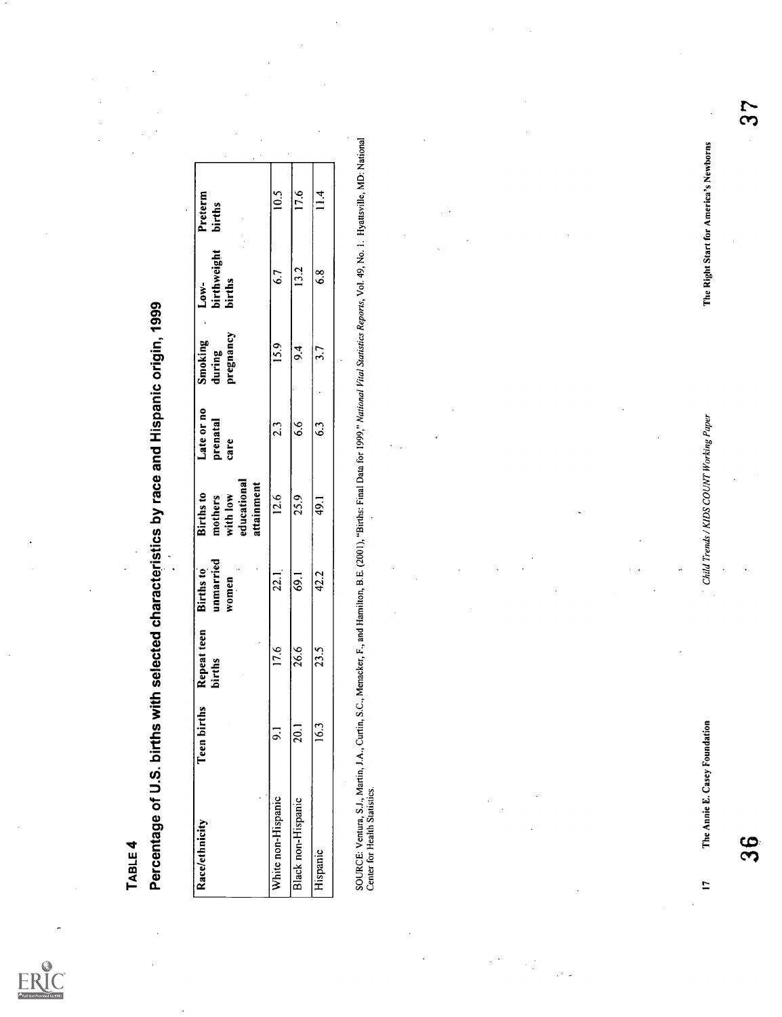| Percentage of U.S. births with selected characteristics by race and Hispanic origin, 1999<br>I ABLE 4                                                                                                                             |                   |                       |                                            |                                                                      |                                |                                |                               |                                        |               |
|-----------------------------------------------------------------------------------------------------------------------------------------------------------------------------------------------------------------------------------|-------------------|-----------------------|--------------------------------------------|----------------------------------------------------------------------|--------------------------------|--------------------------------|-------------------------------|----------------------------------------|---------------|
| Race/ethnicity                                                                                                                                                                                                                    | Teen births       | Repeat teen<br>births | unmarried<br>$\cdot$<br>Births to<br>women | educational<br>attainment<br><b>Births</b> to<br>with low<br>mothers | Late or no<br>prenatal<br>care | pregnancy<br>Smoking<br>during | birthweight<br>births<br>Low- | Preterm<br>births                      |               |
| White non-Hispanic                                                                                                                                                                                                                | $\overline{9}$ .  | 17.6                  | 22.1                                       | 12.6                                                                 | 2.3                            | 15.9                           | 6.7                           | $\overline{10.5}$                      |               |
| Black non-Hispanic                                                                                                                                                                                                                | $\overline{20.1}$ | 26.6                  | $\overline{69.1}$                          | 25.9                                                                 | $\frac{6}{6}$                  | $\mathbf{r}$                   | 13.2                          | 17.6                                   |               |
| Hispanic                                                                                                                                                                                                                          | 16.3              | 23.5                  | 42.2                                       | 49.1                                                                 | 63                             | 3.7<br>$\cdot$                 | 6.8                           | 11.4                                   |               |
| SOURCE: Ventura, S.J., Martin, J.A., Curtin, S.C., Menacker, F., and Hamilton, B.E. (2001), "Births: Final Data for 1999," National Vital Statistics Reports, Vol. 49, No. 1. Hyattsville, MD: National<br>Center for Health Stat |                   |                       |                                            |                                                                      |                                |                                |                               |                                        |               |
|                                                                                                                                                                                                                                   |                   |                       |                                            |                                                                      |                                |                                |                               |                                        |               |
|                                                                                                                                                                                                                                   |                   |                       |                                            |                                                                      |                                |                                |                               |                                        |               |
|                                                                                                                                                                                                                                   |                   |                       |                                            |                                                                      |                                |                                |                               |                                        |               |
|                                                                                                                                                                                                                                   |                   |                       |                                            |                                                                      |                                |                                |                               |                                        |               |
|                                                                                                                                                                                                                                   |                   |                       |                                            |                                                                      |                                |                                |                               |                                        |               |
|                                                                                                                                                                                                                                   |                   |                       |                                            |                                                                      |                                |                                |                               |                                        |               |
|                                                                                                                                                                                                                                   |                   |                       |                                            |                                                                      |                                |                                |                               |                                        |               |
|                                                                                                                                                                                                                                   |                   |                       |                                            |                                                                      |                                |                                |                               |                                        |               |
|                                                                                                                                                                                                                                   |                   |                       |                                            |                                                                      |                                |                                |                               |                                        |               |
|                                                                                                                                                                                                                                   |                   |                       |                                            |                                                                      |                                |                                |                               |                                        |               |
|                                                                                                                                                                                                                                   |                   |                       |                                            |                                                                      |                                |                                |                               |                                        |               |
|                                                                                                                                                                                                                                   |                   |                       |                                            |                                                                      |                                |                                |                               |                                        |               |
| The Annie E. Casey Foundation<br>$\mathbf{L}$                                                                                                                                                                                     |                   |                       |                                            | Child Trends / KIDS COUNT Working Paper                              |                                |                                |                               | The Right Start for America's Newborns |               |
| 36                                                                                                                                                                                                                                |                   |                       |                                            |                                                                      |                                |                                |                               |                                        | $\frac{5}{5}$ |
|                                                                                                                                                                                                                                   |                   |                       |                                            |                                                                      |                                |                                |                               |                                        |               |
|                                                                                                                                                                                                                                   |                   |                       |                                            |                                                                      |                                |                                |                               |                                        |               |
|                                                                                                                                                                                                                                   |                   |                       |                                            |                                                                      |                                |                                |                               |                                        |               |

 $\mathbb{Z}^2_2$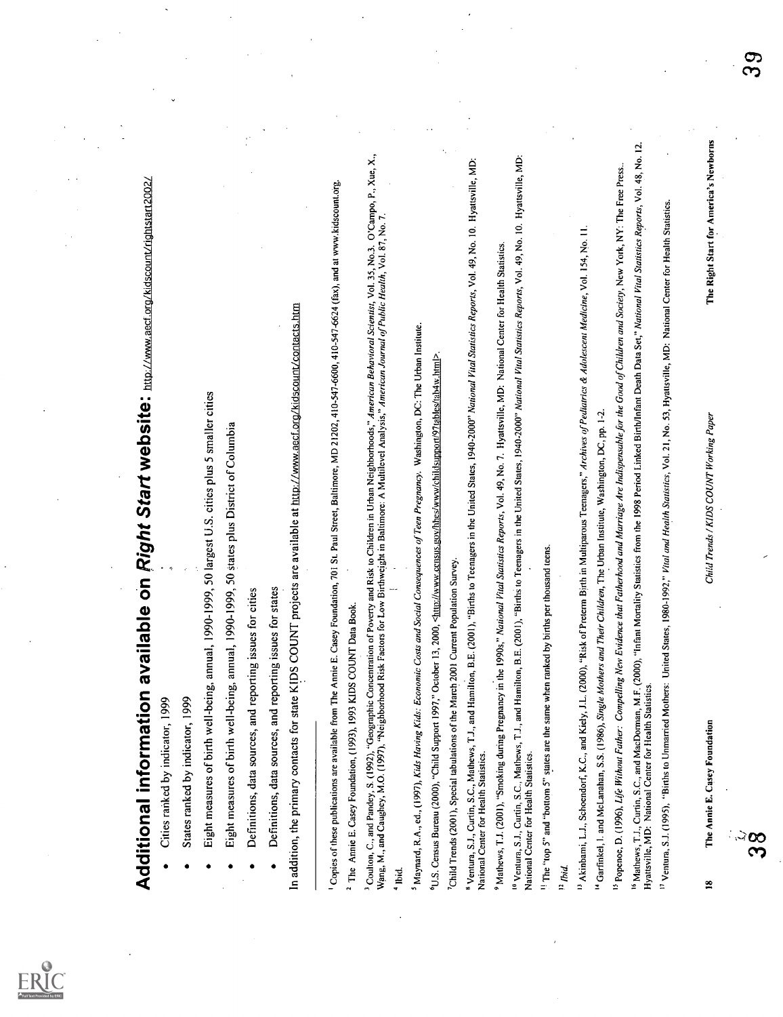

- 
- 
- 
- 
- 
- 

Additional information available on P30pH Start website: here are associated to the start of the start with start with start with start with the start and start in the start of the start of the start with the start of the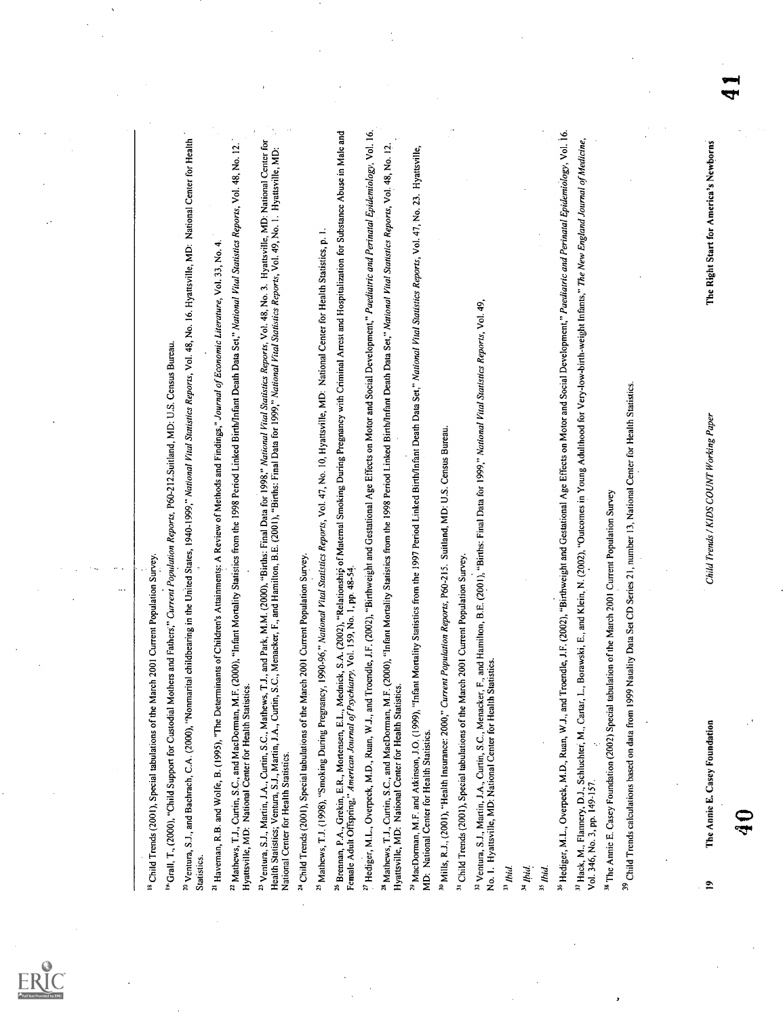| <sup>20</sup> Ventura, S.J., and Bachrach, C.A. (2000), "Nonmarial childbearing in the United States, 1940-1999," National Vital Stations Reports, Vol. 48, No. 16. Hyattsville, MD: National Center for Health<br><sup>19</sup> Grall, T., (2000), "Child Support for Custodial Mothers and Fathers," Current Population Reports, P60-212.Suitland, MD: U.S. Census Bureau.<br><sup>18</sup> Child Trends (2001), Special tabulations of the March 2001 Current Population Survey.<br>Statistics. |  |
|----------------------------------------------------------------------------------------------------------------------------------------------------------------------------------------------------------------------------------------------------------------------------------------------------------------------------------------------------------------------------------------------------------------------------------------------------------------------------------------------------|--|
| <sup>22</sup> Mathews, T.J., Curtin, S.C., and MacDorman, M.F. (2000), "Infant Mortality Statistics from the 1998 Period Linked Birth/Infant Death Data Set," National Vital Statistics Reports, Vol. 48, No. 12.<br><sup>21</sup> Haveman, R.B. and Wolfe, B. (1995), "The Determinants of Children's Attainments: A Review of Methods and Findings," Journal of Economic Literature, Vol. 33, No. 4.<br>Hyattsville, MD: National Center for Health Statistics.                                  |  |
| <sup>23</sup> Ventura, S.J., Martin, J.A., Curtin, S.C., Mathews, T.J., and Park, M.M. (2000), "Births: Final Data for 1998," Mational Fital Statistics Reports, Vol. 48, No. 3. Hyattsville, MD: National Center for<br>Health Statistics<br>Health Statistics; Ventura, S.J., Martin, J.A., Curtin, S.C., M<br>National Center for Health Statistics.                                                                                                                                            |  |
| <sup>25</sup> Mathews, T.J. (1998), "Smoking During Pregnancy, 1990-96," National Vital Statistics Reports, Vol. 47, No. 10, Hyattsville, MD: National Center for Health Statistics, p. I.<br><sup>24</sup> Child Trends (2001), Special tabulations of the March 2001 Current Population Survey.                                                                                                                                                                                                  |  |
| 3.A. (2002), "Relationship of Maternal Smoking During Pregnancy with Criminal Arrest and Hospitalization for Substance Abuse in Male and<br>Vol. 159, No. 1, pp. 48-54.<br><sup>26</sup> Brennan, P.A., Grekin, E.R., Mortensen, E.L., Mednick, S<br>Female Adult Offspring," American Journal of Psychiatry.                                                                                                                                                                                      |  |
| <sup>27</sup> Hediger, M.L., Overpeck, M.D., Ruan, W.J., and Troendle, J.F. (2002), "Birthweight and Gestational Age Effects on Motor and Social Development," Paediatric and Pertinatal Epidemiology, Vol. 16,<br><sup>28</sup> Mathews, T.J., Curtin, S.C., and MacDorman, M.F. (2000), "Infant Mortality Statistics from the 1998 Period Linked Birth/Infant Death Data Set," <i>National Vital Statistics Reports</i> , Vol. 48, No. 12.<br>Hyattsville, MD: Na                                |  |
| <sup>29</sup> MacDorman, M.F. and Atkinson, J.O. (1999), "Infant Mortality Statistics from the 1997 Period Linked Birth/Infant Death Data Set," Mational Vital Statistics Reports, Vol. 47, No. 23. Hyattsville,<br>MD: National Center for Health Statistics.                                                                                                                                                                                                                                     |  |
| <sup>30</sup> Mills, R.J., (2001), "Health Insurance: 2000," Current Population Reports, P60-215. Suitland, MD: U.S. Census Bureau.                                                                                                                                                                                                                                                                                                                                                                |  |
| <sup>31</sup> Child Trends (2001), Special tabulations of the March 2001 Current Population Survey.                                                                                                                                                                                                                                                                                                                                                                                                |  |
|                                                                                                                                                                                                                                                                                                                                                                                                                                                                                                    |  |
| $^{34}$ Ibid.<br>$^{33}$ Ibid.                                                                                                                                                                                                                                                                                                                                                                                                                                                                     |  |
| $35$ <i>Ibid.</i>                                                                                                                                                                                                                                                                                                                                                                                                                                                                                  |  |
| <sup>36</sup> Hediger, M.L., Overpeck, M.D., Ruan, W.J., and Troendle, J.F. (2002), "Birthweight and Gestational Age Effects on Motor and Social Development," Paediatric and Perinatal Epidemiology, Vol. 16.<br><sup>37</sup> Hack, M., Flannery, D.J., Schluchter, M., Cartar, L., Borawski, E., and Klein, N. (2002), "Outcomes in Young Adulthood for Very-low-birth-weight Infants," The New England Journal of Medicine,                                                                    |  |
| of the March 2001 Current Population Survey<br><sup>38</sup> The Annie E. Casey Foundation (2002) Special tabulation<br>Vol. 346, No. 3, pp. 149-157.                                                                                                                                                                                                                                                                                                                                              |  |
| <sup>39</sup> Child Trends calculations based on data from 1999 Natality Data Set CD Series 21, number 13, National Center for Health Statistics.                                                                                                                                                                                                                                                                                                                                                  |  |
|                                                                                                                                                                                                                                                                                                                                                                                                                                                                                                    |  |
| The Right Start for America's Newborns<br>Child Trends / KIDS COUNT Working Paper<br>The Annie E. Casey Foundation<br>$\tilde{=}$                                                                                                                                                                                                                                                                                                                                                                  |  |
| ক                                                                                                                                                                                                                                                                                                                                                                                                                                                                                                  |  |

 $\underset{\overbrace{\mathbf{F}^{\text{full Test Perioded by EHC}}}}{\sum\limits_{\mathbf{F}^{\text{full Test Proof of type}}}}$